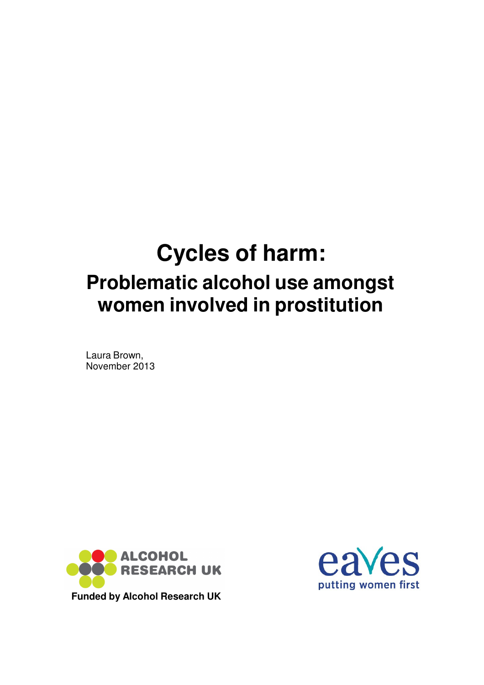# **Cycles of harm: Problematic alcohol use amongst women involved in prostitution**

Laura Brown, November 2013



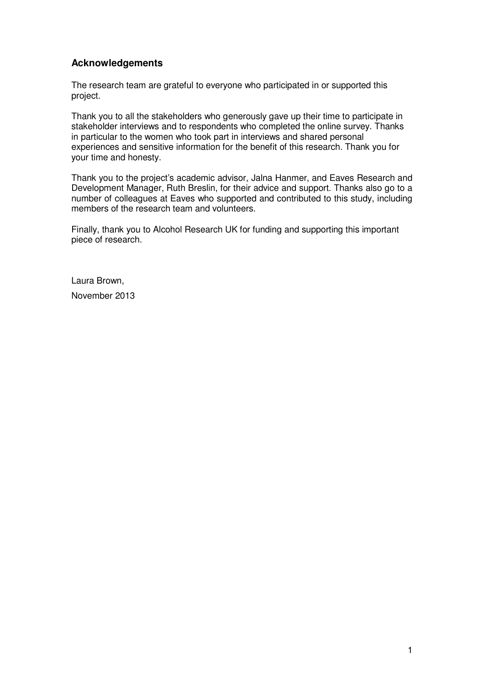# **Acknowledgements**

The research team are grateful to everyone who participated in or supported this project.

Thank you to all the stakeholders who generously gave up their time to participate in stakeholder interviews and to respondents who completed the online survey. Thanks in particular to the women who took part in interviews and shared personal experiences and sensitive information for the benefit of this research. Thank you for your time and honesty.

Thank you to the project's academic advisor, Jalna Hanmer, and Eaves Research and Development Manager, Ruth Breslin, for their advice and support. Thanks also go to a number of colleagues at Eaves who supported and contributed to this study, including members of the research team and volunteers.

Finally, thank you to Alcohol Research UK for funding and supporting this important piece of research.

Laura Brown, November 2013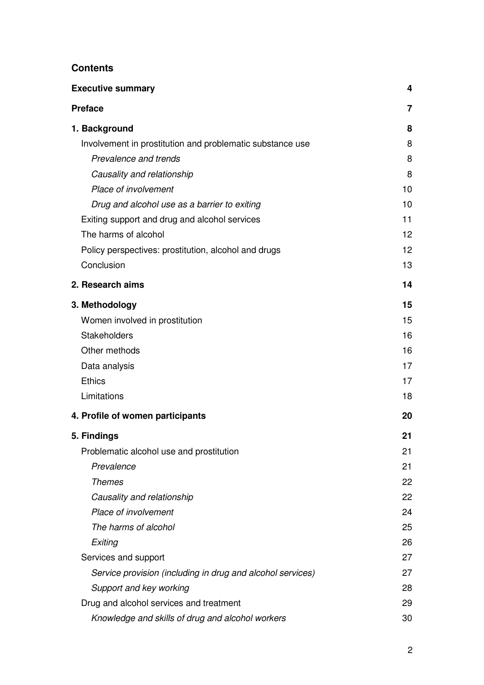# **Contents**

| <b>Executive summary</b>                                   | 4  |
|------------------------------------------------------------|----|
| <b>Preface</b>                                             | 7  |
| 1. Background                                              | 8  |
| Involvement in prostitution and problematic substance use  | 8  |
| Prevalence and trends                                      | 8  |
| Causality and relationship                                 | 8  |
| Place of involvement                                       | 10 |
| Drug and alcohol use as a barrier to exiting               | 10 |
| Exiting support and drug and alcohol services              | 11 |
| The harms of alcohol                                       | 12 |
| Policy perspectives: prostitution, alcohol and drugs       | 12 |
| Conclusion                                                 | 13 |
| 2. Research aims                                           | 14 |
| 3. Methodology                                             | 15 |
| Women involved in prostitution                             | 15 |
| <b>Stakeholders</b>                                        | 16 |
| Other methods                                              | 16 |
| Data analysis                                              | 17 |
| <b>Ethics</b>                                              | 17 |
| Limitations                                                | 18 |
| 4. Profile of women participants                           | 20 |
| 5. Findings                                                | 21 |
| Problematic alcohol use and prostitution                   | 21 |
| Prevalence                                                 | 21 |
| <b>Themes</b>                                              | 22 |
| Causality and relationship                                 | 22 |
| Place of involvement                                       | 24 |
| The harms of alcohol                                       | 25 |
| Exiting                                                    | 26 |
| Services and support                                       | 27 |
| Service provision (including in drug and alcohol services) | 27 |
| Support and key working                                    | 28 |
| Drug and alcohol services and treatment                    | 29 |
| Knowledge and skills of drug and alcohol workers           | 30 |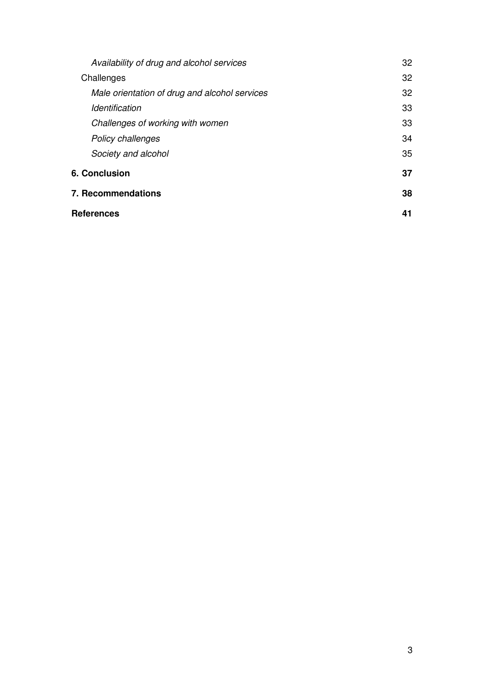|                           | Availability of drug and alcohol services     | 32 |
|---------------------------|-----------------------------------------------|----|
|                           | Challenges                                    | 32 |
|                           | Male orientation of drug and alcohol services | 32 |
|                           | <i><u><b>Identification</b></u></i>           | 33 |
|                           | Challenges of working with women              | 33 |
|                           | <b>Policy challenges</b>                      | 34 |
|                           | Society and alcohol                           | 35 |
| <b>6. Conclusion</b>      |                                               | 37 |
| <b>7. Recommendations</b> |                                               | 38 |
|                           | References                                    |    |
|                           |                                               |    |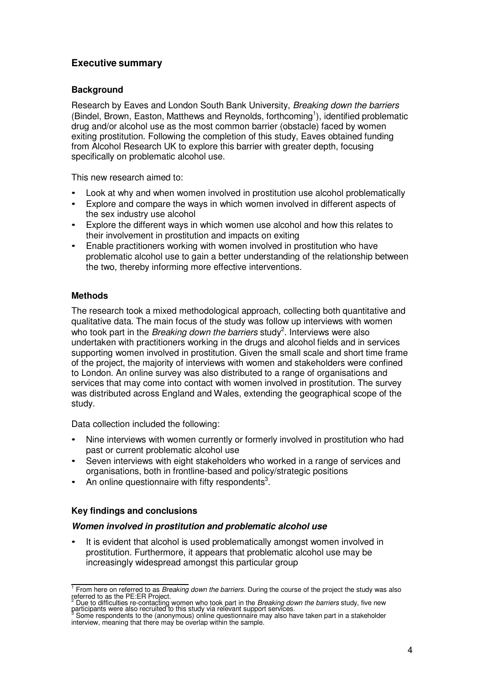# **Executive summary**

## **Background**

Research by Eaves and London South Bank University, Breaking down the barriers (Bindel, Brown, Easton, Matthews and Reynolds, forthcoming<sup>1</sup>), identified problematic drug and/or alcohol use as the most common barrier (obstacle) faced by women exiting prostitution. Following the completion of this study, Eaves obtained funding from Alcohol Research UK to explore this barrier with greater depth, focusing specifically on problematic alcohol use.

This new research aimed to:

- Look at why and when women involved in prostitution use alcohol problematically
- Explore and compare the ways in which women involved in different aspects of the sex industry use alcohol
- Explore the different ways in which women use alcohol and how this relates to their involvement in prostitution and impacts on exiting
- Enable practitioners working with women involved in prostitution who have problematic alcohol use to gain a better understanding of the relationship between the two, thereby informing more effective interventions.

## **Methods**

The research took a mixed methodological approach, collecting both quantitative and qualitative data. The main focus of the study was follow up interviews with women who took part in the *Breaking down the barriers* study<sup>2</sup>. Interviews were also undertaken with practitioners working in the drugs and alcohol fields and in services supporting women involved in prostitution. Given the small scale and short time frame of the project, the majority of interviews with women and stakeholders were confined to London. An online survey was also distributed to a range of organisations and services that may come into contact with women involved in prostitution. The survey was distributed across England and Wales, extending the geographical scope of the study.

Data collection included the following:

- Nine interviews with women currently or formerly involved in prostitution who had past or current problematic alcohol use
- Seven interviews with eight stakeholders who worked in a range of services and organisations, both in frontline-based and policy/strategic positions
- $\bullet$  An online questionnaire with fifty respondents<sup>3</sup>.

## **Key findings and conclusions**

## **Women involved in prostitution and problematic alcohol use**

It is evident that alcohol is used problematically amongst women involved in prostitution. Furthermore, it appears that problematic alcohol use may be increasingly widespread amongst this particular group

 $1$  From here on referred to as *Breaking down the barriers*. During the course of the project the study was also

referred to as the PE:ER Project.<br><sup>2</sup> Due to difficulties re-contacting women who took part in the *Breaking down the barriers* study, five new<br>participants were also recruited to this study via relevant support services.

 $3$  Some respondents to the (anonymous) online questionnaire may also have taken part in a stakeholder interview, meaning that there may be overlap within the sample.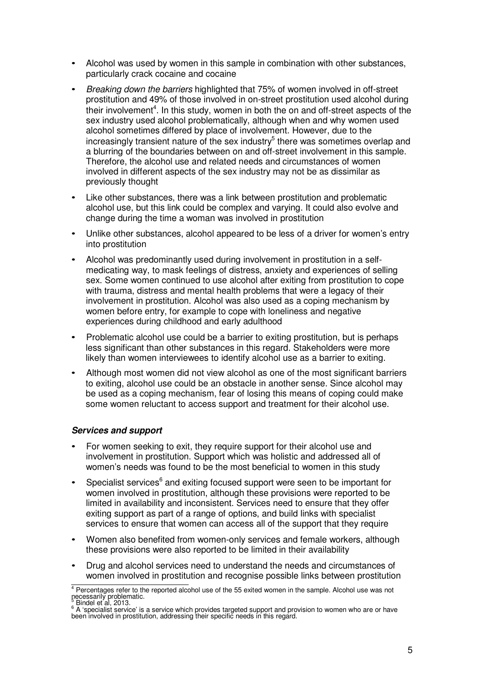- Alcohol was used by women in this sample in combination with other substances, particularly crack cocaine and cocaine
- Breaking down the barriers highlighted that 75% of women involved in off-street prostitution and 49% of those involved in on-street prostitution used alcohol during their involvement<sup>4</sup>. In this study, women in both the on and off-street aspects of the sex industry used alcohol problematically, although when and why women used alcohol sometimes differed by place of involvement. However, due to the increasingly transient nature of the sex industry<sup>5</sup> there was sometimes overlap and a blurring of the boundaries between on and off-street involvement in this sample. Therefore, the alcohol use and related needs and circumstances of women involved in different aspects of the sex industry may not be as dissimilar as previously thought
- Like other substances, there was a link between prostitution and problematic alcohol use, but this link could be complex and varying. It could also evolve and change during the time a woman was involved in prostitution
- Unlike other substances, alcohol appeared to be less of a driver for women's entry into prostitution
- Alcohol was predominantly used during involvement in prostitution in a selfmedicating way, to mask feelings of distress, anxiety and experiences of selling sex. Some women continued to use alcohol after exiting from prostitution to cope with trauma, distress and mental health problems that were a legacy of their involvement in prostitution. Alcohol was also used as a coping mechanism by women before entry, for example to cope with loneliness and negative experiences during childhood and early adulthood
- Problematic alcohol use could be a barrier to exiting prostitution, but is perhaps less significant than other substances in this regard. Stakeholders were more likely than women interviewees to identify alcohol use as a barrier to exiting.
- Although most women did not view alcohol as one of the most significant barriers to exiting, alcohol use could be an obstacle in another sense. Since alcohol may be used as a coping mechanism, fear of losing this means of coping could make some women reluctant to access support and treatment for their alcohol use.

## **Services and support**

- For women seeking to exit, they require support for their alcohol use and involvement in prostitution. Support which was holistic and addressed all of women's needs was found to be the most beneficial to women in this study
- Specialist services<sup>6</sup> and exiting focused support were seen to be important for women involved in prostitution, although these provisions were reported to be limited in availability and inconsistent. Services need to ensure that they offer exiting support as part of a range of options, and build links with specialist services to ensure that women can access all of the support that they require
- Women also benefited from women-only services and female workers, although these provisions were also reported to be limited in their availability
- Drug and alcohol services need to understand the needs and circumstances of women involved in prostitution and recognise possible links between prostitution

 $4$  Percentages refer to the reported alcohol use of the 55 exited women in the sample. Alcohol use was not necessarily problematic.<br>
Bindel et al, 2013.

<sup>&</sup>lt;sup>6</sup> A 'specialist service' is a service which provides targeted support and provision to women who are or have been involved in prostitution, addressing their specific needs in this regard.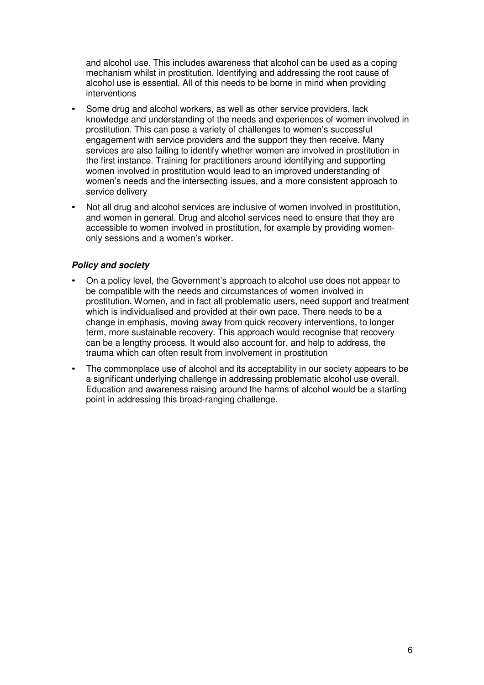and alcohol use. This includes awareness that alcohol can be used as a coping mechanism whilst in prostitution. Identifying and addressing the root cause of alcohol use is essential. All of this needs to be borne in mind when providing interventions

- Some drug and alcohol workers, as well as other service providers, lack knowledge and understanding of the needs and experiences of women involved in prostitution. This can pose a variety of challenges to women's successful engagement with service providers and the support they then receive. Many services are also failing to identify whether women are involved in prostitution in the first instance. Training for practitioners around identifying and supporting women involved in prostitution would lead to an improved understanding of women's needs and the intersecting issues, and a more consistent approach to service delivery
- Not all drug and alcohol services are inclusive of women involved in prostitution, and women in general. Drug and alcohol services need to ensure that they are accessible to women involved in prostitution, for example by providing womenonly sessions and a women's worker.

## **Policy and society**

- On a policy level, the Government's approach to alcohol use does not appear to be compatible with the needs and circumstances of women involved in prostitution. Women, and in fact all problematic users, need support and treatment which is individualised and provided at their own pace. There needs to be a change in emphasis, moving away from quick recovery interventions, to longer term, more sustainable recovery. This approach would recognise that recovery can be a lengthy process. It would also account for, and help to address, the trauma which can often result from involvement in prostitution
- The commonplace use of alcohol and its acceptability in our society appears to be a significant underlying challenge in addressing problematic alcohol use overall. Education and awareness raising around the harms of alcohol would be a starting point in addressing this broad-ranging challenge.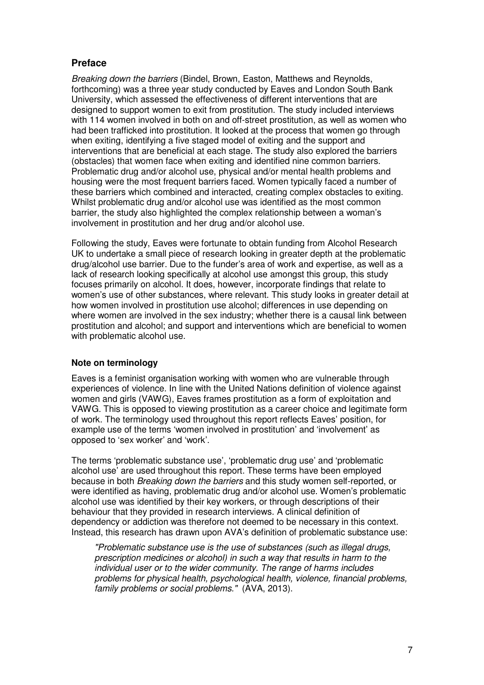# **Preface**

Breaking down the barriers (Bindel, Brown, Easton, Matthews and Reynolds, forthcoming) was a three year study conducted by Eaves and London South Bank University, which assessed the effectiveness of different interventions that are designed to support women to exit from prostitution. The study included interviews with 114 women involved in both on and off-street prostitution, as well as women who had been trafficked into prostitution. It looked at the process that women go through when exiting, identifying a five staged model of exiting and the support and interventions that are beneficial at each stage. The study also explored the barriers (obstacles) that women face when exiting and identified nine common barriers. Problematic drug and/or alcohol use, physical and/or mental health problems and housing were the most frequent barriers faced. Women typically faced a number of these barriers which combined and interacted, creating complex obstacles to exiting. Whilst problematic drug and/or alcohol use was identified as the most common barrier, the study also highlighted the complex relationship between a woman's involvement in prostitution and her drug and/or alcohol use.

Following the study, Eaves were fortunate to obtain funding from Alcohol Research UK to undertake a small piece of research looking in greater depth at the problematic drug/alcohol use barrier. Due to the funder's area of work and expertise, as well as a lack of research looking specifically at alcohol use amongst this group, this study focuses primarily on alcohol. It does, however, incorporate findings that relate to women's use of other substances, where relevant. This study looks in greater detail at how women involved in prostitution use alcohol; differences in use depending on where women are involved in the sex industry; whether there is a causal link between prostitution and alcohol; and support and interventions which are beneficial to women with problematic alcohol use.

## **Note on terminology**

Eaves is a feminist organisation working with women who are vulnerable through experiences of violence. In line with the United Nations definition of violence against women and girls (VAWG), Eaves frames prostitution as a form of exploitation and VAWG. This is opposed to viewing prostitution as a career choice and legitimate form of work. The terminology used throughout this report reflects Eaves' position, for example use of the terms 'women involved in prostitution' and 'involvement' as opposed to 'sex worker' and 'work'.

The terms 'problematic substance use', 'problematic drug use' and 'problematic alcohol use' are used throughout this report. These terms have been employed because in both Breaking down the barriers and this study women self-reported, or were identified as having, problematic drug and/or alcohol use. Women's problematic alcohol use was identified by their key workers, or through descriptions of their behaviour that they provided in research interviews. A clinical definition of dependency or addiction was therefore not deemed to be necessary in this context. Instead, this research has drawn upon AVA's definition of problematic substance use:

"Problematic substance use is the use of substances (such as illegal drugs, prescription medicines or alcohol) in such a way that results in harm to the individual user or to the wider community. The range of harms includes problems for physical health, psychological health, violence, financial problems, family problems or social problems." (AVA, 2013).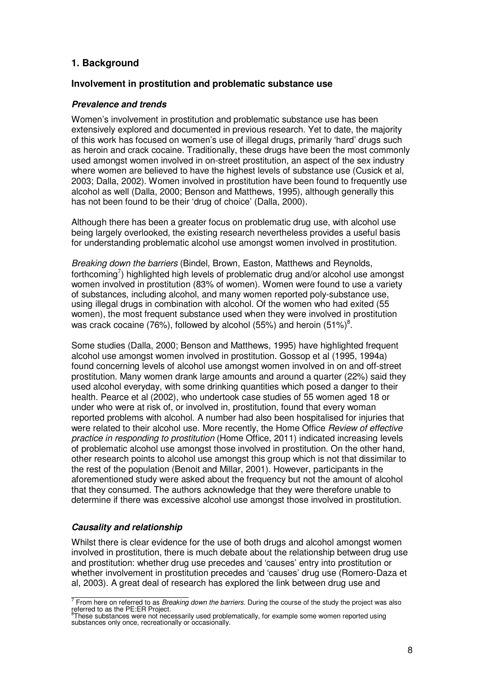## **1. Background**

#### **Involvement in prostitution and problematic substance use**

#### **Prevalence and trends**

Women's involvement in prostitution and problematic substance use has been extensively explored and documented in previous research. Yet to date, the majority of this work has focused on women's use of illegal drugs, primarily 'hard' drugs such as heroin and crack cocaine. Traditionally, these drugs have been the most commonly used amongst women involved in on-street prostitution, an aspect of the sex industry where women are believed to have the highest levels of substance use (Cusick et al, 2003; Dalla, 2002). Women involved in prostitution have been found to frequently use alcohol as well (Dalla, 2000; Benson and Matthews, 1995), although generally this has not been found to be their 'drug of choice' (Dalla, 2000).

Although there has been a greater focus on problematic drug use, with alcohol use being largely overlooked, the existing research nevertheless provides a useful basis for understanding problematic alcohol use amongst women involved in prostitution.

Breaking down the barriers (Bindel, Brown, Easton, Matthews and Reynolds, forthcoming<sup>7</sup>) highlighted high levels of problematic drug and/or alcohol use amongst women involved in prostitution (83% of women). Women were found to use a variety of substances, including alcohol, and many women reported poly-substance use, using illegal drugs in combination with alcohol. Of the women who had exited (55 women), the most frequent substance used when they were involved in prostitution was crack cocaine (76%), followed by alcohol (55%) and heroin (51%)<sup>8</sup>.

Some studies (Dalla, 2000; Benson and Matthews, 1995) have highlighted frequent alcohol use amongst women involved in prostitution. Gossop et al (1995, 1994a) found concerning levels of alcohol use amongst women involved in on and off-street prostitution. Many women drank large amounts and around a quarter (22%) said they used alcohol everyday, with some drinking quantities which posed a danger to their health. Pearce et al (2002), who undertook case studies of 55 women aged 18 or under who were at risk of, or involved in, prostitution, found that every woman reported problems with alcohol. A number had also been hospitalised for injuries that were related to their alcohol use. More recently, the Home Office *Review of effective* practice in responding to prostitution (Home Office, 2011) indicated increasing levels of problematic alcohol use amongst those involved in prostitution. On the other hand, other research points to alcohol use amongst this group which is not that dissimilar to the rest of the population (Benoit and Millar, 2001). However, participants in the aforementioned study were asked about the frequency but not the amount of alcohol that they consumed. The authors acknowledge that they were therefore unable to determine if there was excessive alcohol use amongst those involved in prostitution.

#### **Causality and relationship**

Whilst there is clear evidence for the use of both drugs and alcohol amongst women involved in prostitution, there is much debate about the relationship between drug use and prostitution: whether drug use precedes and 'causes' entry into prostitution or whether involvement in prostitution precedes and 'causes' drug use (Romero-Daza et al, 2003). A great deal of research has explored the link between drug use and

 $\overline{7}$  From here on referred to as *Breaking down the barriers*. During the course of the study the project was also referred to as the PE:ER Project.<br><sup>8</sup> These substances were not peco

These substances were not necessarily used problematically, for example some women reported using substances only once, recreationally or occasionally.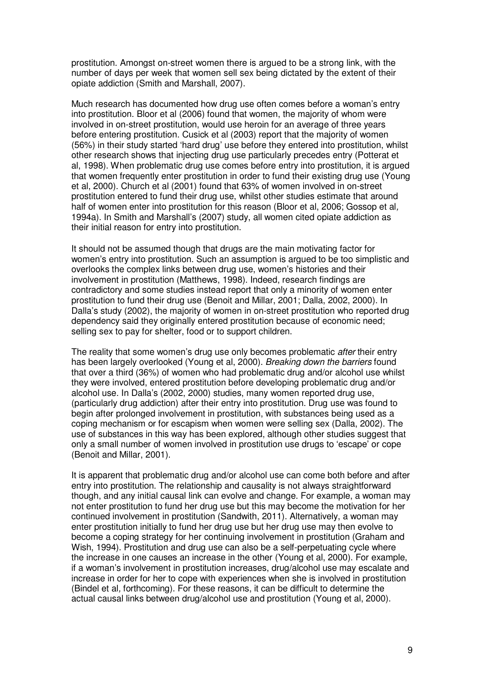prostitution. Amongst on-street women there is argued to be a strong link, with the number of days per week that women sell sex being dictated by the extent of their opiate addiction (Smith and Marshall, 2007).

Much research has documented how drug use often comes before a woman's entry into prostitution. Bloor et al (2006) found that women, the majority of whom were involved in on-street prostitution, would use heroin for an average of three years before entering prostitution. Cusick et al (2003) report that the majority of women (56%) in their study started 'hard drug' use before they entered into prostitution, whilst other research shows that injecting drug use particularly precedes entry (Potterat et al, 1998). When problematic drug use comes before entry into prostitution, it is argued that women frequently enter prostitution in order to fund their existing drug use (Young et al, 2000). Church et al (2001) found that 63% of women involved in on-street prostitution entered to fund their drug use, whilst other studies estimate that around half of women enter into prostitution for this reason (Bloor et al, 2006; Gossop et al, 1994a). In Smith and Marshall's (2007) study, all women cited opiate addiction as their initial reason for entry into prostitution.

It should not be assumed though that drugs are the main motivating factor for women's entry into prostitution. Such an assumption is argued to be too simplistic and overlooks the complex links between drug use, women's histories and their involvement in prostitution (Matthews, 1998). Indeed, research findings are contradictory and some studies instead report that only a minority of women enter prostitution to fund their drug use (Benoit and Millar, 2001; Dalla, 2002, 2000). In Dalla's study (2002), the majority of women in on-street prostitution who reported drug dependency said they originally entered prostitution because of economic need; selling sex to pay for shelter, food or to support children.

The reality that some women's drug use only becomes problematic *after* their entry has been largely overlooked (Young et al, 2000). Breaking down the barriers found that over a third (36%) of women who had problematic drug and/or alcohol use whilst they were involved, entered prostitution before developing problematic drug and/or alcohol use. In Dalla's (2002, 2000) studies, many women reported drug use, (particularly drug addiction) after their entry into prostitution. Drug use was found to begin after prolonged involvement in prostitution, with substances being used as a coping mechanism or for escapism when women were selling sex (Dalla, 2002). The use of substances in this way has been explored, although other studies suggest that only a small number of women involved in prostitution use drugs to 'escape' or cope (Benoit and Millar, 2001).

It is apparent that problematic drug and/or alcohol use can come both before and after entry into prostitution. The relationship and causality is not always straightforward though, and any initial causal link can evolve and change. For example, a woman may not enter prostitution to fund her drug use but this may become the motivation for her continued involvement in prostitution (Sandwith, 2011). Alternatively, a woman may enter prostitution initially to fund her drug use but her drug use may then evolve to become a coping strategy for her continuing involvement in prostitution (Graham and Wish, 1994). Prostitution and drug use can also be a self-perpetuating cycle where the increase in one causes an increase in the other (Young et al, 2000). For example, if a woman's involvement in prostitution increases, drug/alcohol use may escalate and increase in order for her to cope with experiences when she is involved in prostitution (Bindel et al, forthcoming). For these reasons, it can be difficult to determine the actual causal links between drug/alcohol use and prostitution (Young et al, 2000).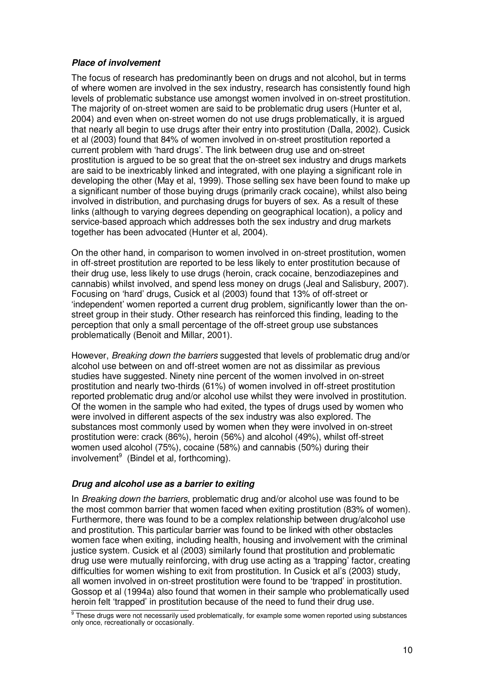## **Place of involvement**

The focus of research has predominantly been on drugs and not alcohol, but in terms of where women are involved in the sex industry, research has consistently found high levels of problematic substance use amongst women involved in on-street prostitution. The majority of on-street women are said to be problematic drug users (Hunter et al, 2004) and even when on-street women do not use drugs problematically, it is argued that nearly all begin to use drugs after their entry into prostitution (Dalla, 2002). Cusick et al (2003) found that 84% of women involved in on-street prostitution reported a current problem with 'hard drugs'. The link between drug use and on-street prostitution is argued to be so great that the on-street sex industry and drugs markets are said to be inextricably linked and integrated, with one playing a significant role in developing the other (May et al, 1999). Those selling sex have been found to make up a significant number of those buying drugs (primarily crack cocaine), whilst also being involved in distribution, and purchasing drugs for buyers of sex. As a result of these links (although to varying degrees depending on geographical location), a policy and service-based approach which addresses both the sex industry and drug markets together has been advocated (Hunter et al, 2004).

On the other hand, in comparison to women involved in on-street prostitution, women in off-street prostitution are reported to be less likely to enter prostitution because of their drug use, less likely to use drugs (heroin, crack cocaine, benzodiazepines and cannabis) whilst involved, and spend less money on drugs (Jeal and Salisbury, 2007). Focusing on 'hard' drugs, Cusick et al (2003) found that 13% of off-street or 'independent' women reported a current drug problem, significantly lower than the onstreet group in their study. Other research has reinforced this finding, leading to the perception that only a small percentage of the off-street group use substances problematically (Benoit and Millar, 2001).

However, *Breaking down the barriers* suggested that levels of problematic drug and/or alcohol use between on and off-street women are not as dissimilar as previous studies have suggested. Ninety nine percent of the women involved in on-street prostitution and nearly two-thirds (61%) of women involved in off-street prostitution reported problematic drug and/or alcohol use whilst they were involved in prostitution. Of the women in the sample who had exited, the types of drugs used by women who were involved in different aspects of the sex industry was also explored. The substances most commonly used by women when they were involved in on-street prostitution were: crack (86%), heroin (56%) and alcohol (49%), whilst off-street women used alcohol (75%), cocaine (58%) and cannabis (50%) during their involvement $9$  (Bindel et al, forthcoming).

## **Drug and alcohol use as a barrier to exiting**

In Breaking down the barriers, problematic drug and/or alcohol use was found to be the most common barrier that women faced when exiting prostitution (83% of women). Furthermore, there was found to be a complex relationship between drug/alcohol use and prostitution. This particular barrier was found to be linked with other obstacles women face when exiting, including health, housing and involvement with the criminal justice system. Cusick et al (2003) similarly found that prostitution and problematic drug use were mutually reinforcing, with drug use acting as a 'trapping' factor, creating difficulties for women wishing to exit from prostitution. In Cusick et al's (2003) study, all women involved in on-street prostitution were found to be 'trapped' in prostitution. Gossop et al (1994a) also found that women in their sample who problematically used heroin felt 'trapped' in prostitution because of the need to fund their drug use.

 $\frac{9}{9}$  These drugs were not necessarily used problematically, for example some women reported using substances only once, recreationally or occasionally.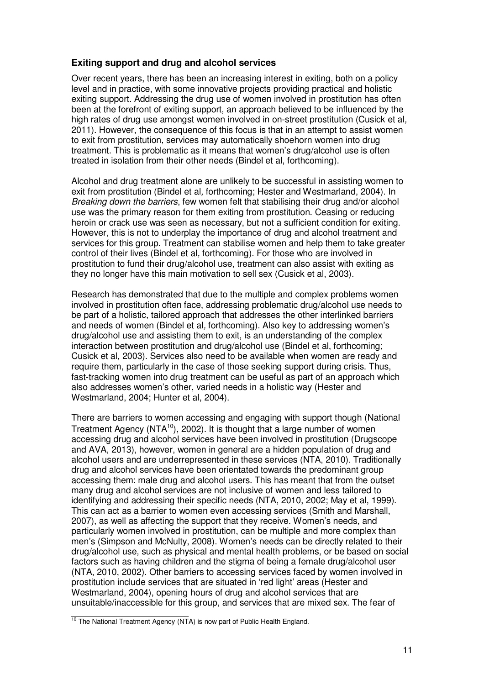## **Exiting support and drug and alcohol services**

Over recent years, there has been an increasing interest in exiting, both on a policy level and in practice, with some innovative projects providing practical and holistic exiting support. Addressing the drug use of women involved in prostitution has often been at the forefront of exiting support, an approach believed to be influenced by the high rates of drug use amongst women involved in on-street prostitution (Cusick et al, 2011). However, the consequence of this focus is that in an attempt to assist women to exit from prostitution, services may automatically shoehorn women into drug treatment. This is problematic as it means that women's drug/alcohol use is often treated in isolation from their other needs (Bindel et al, forthcoming).

Alcohol and drug treatment alone are unlikely to be successful in assisting women to exit from prostitution (Bindel et al, forthcoming; Hester and Westmarland, 2004). In Breaking down the barriers, few women felt that stabilising their drug and/or alcohol use was the primary reason for them exiting from prostitution. Ceasing or reducing heroin or crack use was seen as necessary, but not a sufficient condition for exiting. However, this is not to underplay the importance of drug and alcohol treatment and services for this group. Treatment can stabilise women and help them to take greater control of their lives (Bindel et al, forthcoming). For those who are involved in prostitution to fund their drug/alcohol use, treatment can also assist with exiting as they no longer have this main motivation to sell sex (Cusick et al, 2003).

Research has demonstrated that due to the multiple and complex problems women involved in prostitution often face, addressing problematic drug/alcohol use needs to be part of a holistic, tailored approach that addresses the other interlinked barriers and needs of women (Bindel et al, forthcoming). Also key to addressing women's drug/alcohol use and assisting them to exit, is an understanding of the complex interaction between prostitution and drug/alcohol use (Bindel et al, forthcoming; Cusick et al, 2003). Services also need to be available when women are ready and require them, particularly in the case of those seeking support during crisis. Thus, fast-tracking women into drug treatment can be useful as part of an approach which also addresses women's other, varied needs in a holistic way (Hester and Westmarland, 2004; Hunter et al, 2004).

There are barriers to women accessing and engaging with support though (National Treatment Agency ( $NTA^{10}$ ), 2002). It is thought that a large number of women accessing drug and alcohol services have been involved in prostitution (Drugscope and AVA, 2013), however, women in general are a hidden population of drug and alcohol users and are underrepresented in these services (NTA, 2010). Traditionally drug and alcohol services have been orientated towards the predominant group accessing them: male drug and alcohol users. This has meant that from the outset many drug and alcohol services are not inclusive of women and less tailored to identifying and addressing their specific needs (NTA, 2010, 2002; May et al, 1999). This can act as a barrier to women even accessing services (Smith and Marshall, 2007), as well as affecting the support that they receive. Women's needs, and particularly women involved in prostitution, can be multiple and more complex than men's (Simpson and McNulty, 2008). Women's needs can be directly related to their drug/alcohol use, such as physical and mental health problems, or be based on social factors such as having children and the stigma of being a female drug/alcohol user (NTA, 2010, 2002). Other barriers to accessing services faced by women involved in prostitution include services that are situated in 'red light' areas (Hester and Westmarland, 2004), opening hours of drug and alcohol services that are unsuitable/inaccessible for this group, and services that are mixed sex. The fear of

 $10$  The National Treatment Agency (NTA) is now part of Public Health England.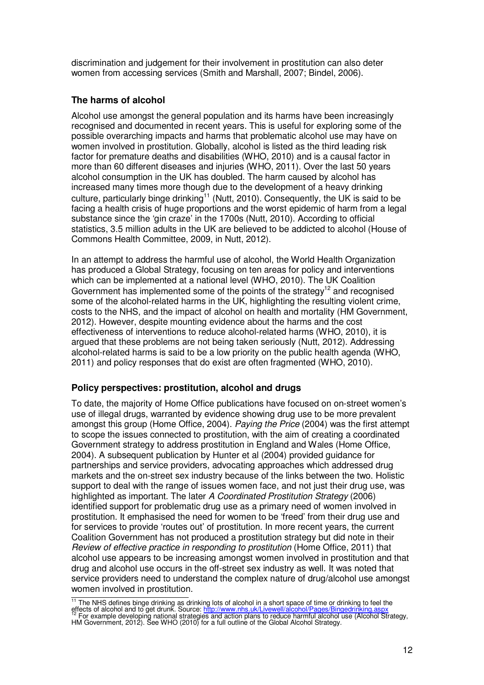discrimination and judgement for their involvement in prostitution can also deter women from accessing services (Smith and Marshall, 2007; Bindel, 2006).

## **The harms of alcohol**

Alcohol use amongst the general population and its harms have been increasingly recognised and documented in recent years. This is useful for exploring some of the possible overarching impacts and harms that problematic alcohol use may have on women involved in prostitution. Globally, alcohol is listed as the third leading risk factor for premature deaths and disabilities (WHO, 2010) and is a causal factor in more than 60 different diseases and injuries (WHO, 2011). Over the last 50 years alcohol consumption in the UK has doubled. The harm caused by alcohol has increased many times more though due to the development of a heavy drinking culture, particularly binge drinking<sup>11</sup> (Nutt, 2010). Consequently, the UK is said to be facing a health crisis of huge proportions and the worst epidemic of harm from a legal substance since the 'gin craze' in the 1700s (Nutt, 2010). According to official statistics, 3.5 million adults in the UK are believed to be addicted to alcohol (House of Commons Health Committee, 2009, in Nutt, 2012).

In an attempt to address the harmful use of alcohol, the World Health Organization has produced a Global Strategy, focusing on ten areas for policy and interventions which can be implemented at a national level (WHO, 2010). The UK Coalition Government has implemented some of the points of the strategy<sup>12</sup> and recognised some of the alcohol-related harms in the UK, highlighting the resulting violent crime, costs to the NHS, and the impact of alcohol on health and mortality (HM Government, 2012). However, despite mounting evidence about the harms and the cost effectiveness of interventions to reduce alcohol-related harms (WHO, 2010), it is argued that these problems are not being taken seriously (Nutt, 2012). Addressing alcohol-related harms is said to be a low priority on the public health agenda (WHO, 2011) and policy responses that do exist are often fragmented (WHO, 2010).

## **Policy perspectives: prostitution, alcohol and drugs**

To date, the majority of Home Office publications have focused on on-street women's use of illegal drugs, warranted by evidence showing drug use to be more prevalent amongst this group (Home Office, 2004). Paying the Price (2004) was the first attempt to scope the issues connected to prostitution, with the aim of creating a coordinated Government strategy to address prostitution in England and Wales (Home Office, 2004). A subsequent publication by Hunter et al (2004) provided guidance for partnerships and service providers, advocating approaches which addressed drug markets and the on-street sex industry because of the links between the two. Holistic support to deal with the range of issues women face, and not just their drug use, was highlighted as important. The later A Coordinated Prostitution Strategy (2006) identified support for problematic drug use as a primary need of women involved in prostitution. It emphasised the need for women to be 'freed' from their drug use and for services to provide 'routes out' of prostitution. In more recent years, the current Coalition Government has not produced a prostitution strategy but did note in their Review of effective practice in responding to prostitution (Home Office, 2011) that alcohol use appears to be increasing amongst women involved in prostitution and that drug and alcohol use occurs in the off-street sex industry as well. It was noted that service providers need to understand the complex nature of drug/alcohol use amongst women involved in prostitution.

<sup>&</sup>lt;sup>11</sup> The NHS defines binge drinking as drinking lots of alcohol in a short space of time or drinking to feel the effects of alcohol and to get drunk. Source: <u>http://www.nhs.uk/Livewell/alcohol/Pages/Bingedrinking.aspx</u><br><sup>12</sup> For example developing national strategies and action plans to reduce harmful alcohol use (Alcohol Strategy, HM Government, 2012). See WHO (2010) for a full outline of the Global Alcohol Strategy.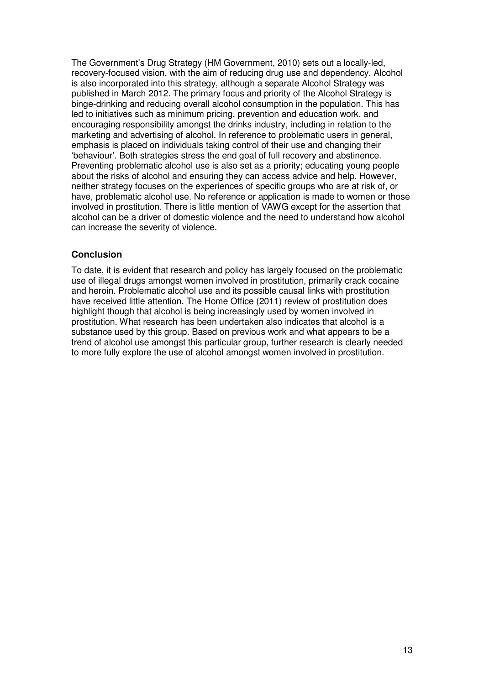The Government's Drug Strategy (HM Government, 2010) sets out a locally-led, recovery-focused vision, with the aim of reducing drug use and dependency. Alcohol is also incorporated into this strategy, although a separate Alcohol Strategy was published in March 2012. The primary focus and priority of the Alcohol Strategy is binge-drinking and reducing overall alcohol consumption in the population. This has led to initiatives such as minimum pricing, prevention and education work, and encouraging responsibility amongst the drinks industry, including in relation to the marketing and advertising of alcohol. In reference to problematic users in general, emphasis is placed on individuals taking control of their use and changing their 'behaviour'. Both strategies stress the end goal of full recovery and abstinence. Preventing problematic alcohol use is also set as a priority; educating young people about the risks of alcohol and ensuring they can access advice and help. However, neither strategy focuses on the experiences of specific groups who are at risk of, or have, problematic alcohol use. No reference or application is made to women or those involved in prostitution. There is little mention of VAWG except for the assertion that alcohol can be a driver of domestic violence and the need to understand how alcohol can increase the severity of violence.

## **Conclusion**

To date, it is evident that research and policy has largely focused on the problematic use of illegal drugs amongst women involved in prostitution, primarily crack cocaine and heroin. Problematic alcohol use and its possible causal links with prostitution have received little attention. The Home Office (2011) review of prostitution does highlight though that alcohol is being increasingly used by women involved in prostitution. What research has been undertaken also indicates that alcohol is a substance used by this group. Based on previous work and what appears to be a trend of alcohol use amongst this particular group, further research is clearly needed to more fully explore the use of alcohol amongst women involved in prostitution.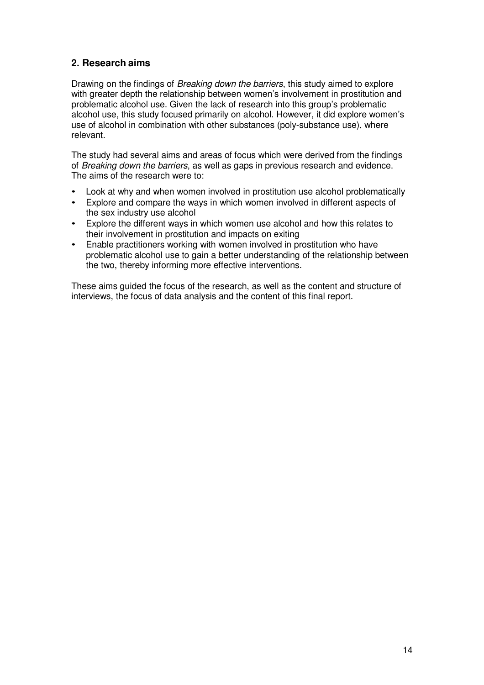# **2. Research aims**

Drawing on the findings of Breaking down the barriers, this study aimed to explore with greater depth the relationship between women's involvement in prostitution and problematic alcohol use. Given the lack of research into this group's problematic alcohol use, this study focused primarily on alcohol. However, it did explore women's use of alcohol in combination with other substances (poly-substance use), where relevant.

The study had several aims and areas of focus which were derived from the findings of Breaking down the barriers, as well as gaps in previous research and evidence. The aims of the research were to:

- Look at why and when women involved in prostitution use alcohol problematically
- Explore and compare the ways in which women involved in different aspects of the sex industry use alcohol
- Explore the different ways in which women use alcohol and how this relates to their involvement in prostitution and impacts on exiting
- Enable practitioners working with women involved in prostitution who have problematic alcohol use to gain a better understanding of the relationship between the two, thereby informing more effective interventions.

These aims guided the focus of the research, as well as the content and structure of interviews, the focus of data analysis and the content of this final report.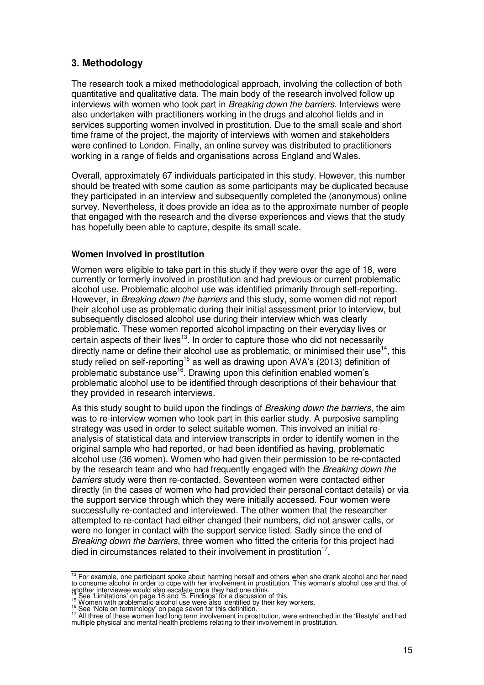## **3. Methodology**

The research took a mixed methodological approach, involving the collection of both quantitative and qualitative data. The main body of the research involved follow up interviews with women who took part in Breaking down the barriers. Interviews were also undertaken with practitioners working in the drugs and alcohol fields and in services supporting women involved in prostitution. Due to the small scale and short time frame of the project, the majority of interviews with women and stakeholders were confined to London. Finally, an online survey was distributed to practitioners working in a range of fields and organisations across England and Wales.

Overall, approximately 67 individuals participated in this study. However, this number should be treated with some caution as some participants may be duplicated because they participated in an interview and subsequently completed the (anonymous) online survey. Nevertheless, it does provide an idea as to the approximate number of people that engaged with the research and the diverse experiences and views that the study has hopefully been able to capture, despite its small scale.

## **Women involved in prostitution**

Women were eligible to take part in this study if they were over the age of 18, were currently or formerly involved in prostitution and had previous or current problematic alcohol use. Problematic alcohol use was identified primarily through self-reporting. However, in Breaking down the barriers and this study, some women did not report their alcohol use as problematic during their initial assessment prior to interview, but subsequently disclosed alcohol use during their interview which was clearly problematic. These women reported alcohol impacting on their everyday lives or certain aspects of their lives $13$ . In order to capture those who did not necessarily directly name or define their alcohol use as problematic, or minimised their use<sup>14</sup>, this study relied on self-reporting<sup>15</sup> as well as drawing upon AVA's (2013) definition of problematic substance use<sup>16</sup>. Drawing upon this definition enabled women's problematic alcohol use to be identified through descriptions of their behaviour that they provided in research interviews.

As this study sought to build upon the findings of *Breaking down the barriers*, the aim was to re-interview women who took part in this earlier study. A purposive sampling strategy was used in order to select suitable women. This involved an initial reanalysis of statistical data and interview transcripts in order to identify women in the original sample who had reported, or had been identified as having, problematic alcohol use (36 women). Women who had given their permission to be re-contacted by the research team and who had frequently engaged with the Breaking down the barriers study were then re-contacted. Seventeen women were contacted either directly (in the cases of women who had provided their personal contact details) or via the support service through which they were initially accessed. Four women were successfully re-contacted and interviewed. The other women that the researcher attempted to re-contact had either changed their numbers, did not answer calls, or were no longer in contact with the support service listed. Sadly since the end of Breaking down the barriers, three women who fitted the criteria for this project had died in circumstances related to their involvement in prostitution $17$ .

 $13$  For example, one participant spoke about harming herself and others when she drank alcohol and her need to consume alcohol in order to cope with her involvement in prostitution. This woman's alcohol use and that of

another interviewee would also escalate once they had one drink.<br><sup>14</sup> See 'Limitations' on page 18 and '5. Findings' for a discussion of this.<br><sup>15</sup> Women with problematic alcohol use were also identified by their key worke

<sup>&</sup>lt;sup>16</sup> See 'Note on terminology' on page seven for this definition.

<sup>&</sup>lt;sup>17</sup> All three of these women had long term involvement in prostitution, were entrenched in the 'lifestyle' and had multiple physical and mental health problems relating to their involvement in prostitution.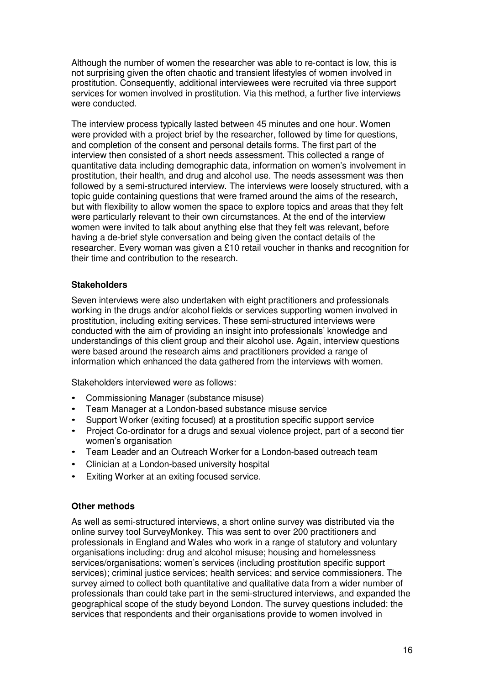Although the number of women the researcher was able to re-contact is low, this is not surprising given the often chaotic and transient lifestyles of women involved in prostitution. Consequently, additional interviewees were recruited via three support services for women involved in prostitution. Via this method, a further five interviews were conducted.

The interview process typically lasted between 45 minutes and one hour. Women were provided with a project brief by the researcher, followed by time for questions, and completion of the consent and personal details forms. The first part of the interview then consisted of a short needs assessment. This collected a range of quantitative data including demographic data, information on women's involvement in prostitution, their health, and drug and alcohol use. The needs assessment was then followed by a semi-structured interview. The interviews were loosely structured, with a topic guide containing questions that were framed around the aims of the research, but with flexibility to allow women the space to explore topics and areas that they felt were particularly relevant to their own circumstances. At the end of the interview women were invited to talk about anything else that they felt was relevant, before having a de-brief style conversation and being given the contact details of the researcher. Every woman was given a £10 retail voucher in thanks and recognition for their time and contribution to the research.

## **Stakeholders**

Seven interviews were also undertaken with eight practitioners and professionals working in the drugs and/or alcohol fields or services supporting women involved in prostitution, including exiting services. These semi-structured interviews were conducted with the aim of providing an insight into professionals' knowledge and understandings of this client group and their alcohol use. Again, interview questions were based around the research aims and practitioners provided a range of information which enhanced the data gathered from the interviews with women.

Stakeholders interviewed were as follows:

- Commissioning Manager (substance misuse)
- Team Manager at a London-based substance misuse service
- Support Worker (exiting focused) at a prostitution specific support service
- Project Co-ordinator for a drugs and sexual violence project, part of a second tier women's organisation
- Team Leader and an Outreach Worker for a London-based outreach team
- Clinician at a London-based university hospital
- Exiting Worker at an exiting focused service.

## **Other methods**

As well as semi-structured interviews, a short online survey was distributed via the online survey tool SurveyMonkey. This was sent to over 200 practitioners and professionals in England and Wales who work in a range of statutory and voluntary organisations including: drug and alcohol misuse; housing and homelessness services/organisations; women's services (including prostitution specific support services); criminal justice services; health services; and service commissioners. The survey aimed to collect both quantitative and qualitative data from a wider number of professionals than could take part in the semi-structured interviews, and expanded the geographical scope of the study beyond London. The survey questions included: the services that respondents and their organisations provide to women involved in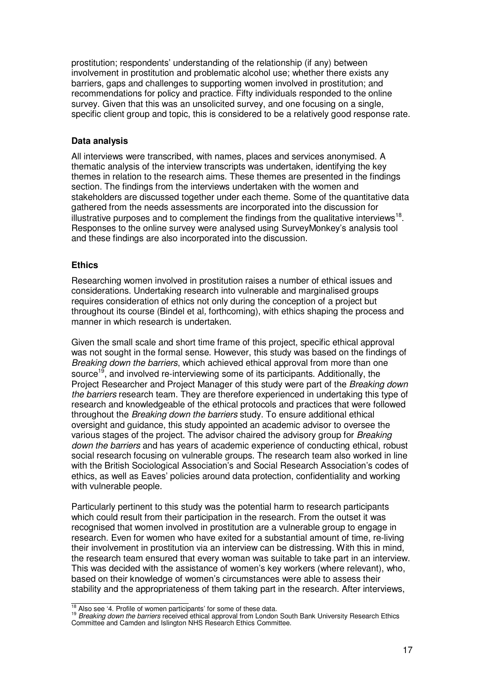prostitution; respondents' understanding of the relationship (if any) between involvement in prostitution and problematic alcohol use; whether there exists any barriers, gaps and challenges to supporting women involved in prostitution; and recommendations for policy and practice. Fifty individuals responded to the online survey. Given that this was an unsolicited survey, and one focusing on a single, specific client group and topic, this is considered to be a relatively good response rate.

## **Data analysis**

All interviews were transcribed, with names, places and services anonymised. A thematic analysis of the interview transcripts was undertaken, identifying the key themes in relation to the research aims. These themes are presented in the findings section. The findings from the interviews undertaken with the women and stakeholders are discussed together under each theme. Some of the quantitative data gathered from the needs assessments are incorporated into the discussion for illustrative purposes and to complement the findings from the qualitative interviews<sup>18</sup>. Responses to the online survey were analysed using SurveyMonkey's analysis tool and these findings are also incorporated into the discussion.

## **Ethics**

Researching women involved in prostitution raises a number of ethical issues and considerations. Undertaking research into vulnerable and marginalised groups requires consideration of ethics not only during the conception of a project but throughout its course (Bindel et al, forthcoming), with ethics shaping the process and manner in which research is undertaken.

Given the small scale and short time frame of this project, specific ethical approval was not sought in the formal sense. However, this study was based on the findings of Breaking down the barriers, which achieved ethical approval from more than one source<sup>19</sup>, and involved re-interviewing some of its participants. Additionally, the Project Researcher and Project Manager of this study were part of the Breaking down the barriers research team. They are therefore experienced in undertaking this type of research and knowledgeable of the ethical protocols and practices that were followed throughout the Breaking down the barriers study. To ensure additional ethical oversight and guidance, this study appointed an academic advisor to oversee the various stages of the project. The advisor chaired the advisory group for Breaking down the barriers and has years of academic experience of conducting ethical, robust social research focusing on vulnerable groups. The research team also worked in line with the British Sociological Association's and Social Research Association's codes of ethics, as well as Eaves' policies around data protection, confidentiality and working with vulnerable people.

Particularly pertinent to this study was the potential harm to research participants which could result from their participation in the research. From the outset it was recognised that women involved in prostitution are a vulnerable group to engage in research. Even for women who have exited for a substantial amount of time, re-living their involvement in prostitution via an interview can be distressing. With this in mind, the research team ensured that every woman was suitable to take part in an interview. This was decided with the assistance of women's key workers (where relevant), who, based on their knowledge of women's circumstances were able to assess their stability and the appropriateness of them taking part in the research. After interviews,

 $18$  Also see '4. Profile of women participants' for some of these data.

<sup>&</sup>lt;sup>19</sup> Breaking down the barriers received ethical approval from London South Bank University Research Ethics Committee and Camden and Islington NHS Research Ethics Committee.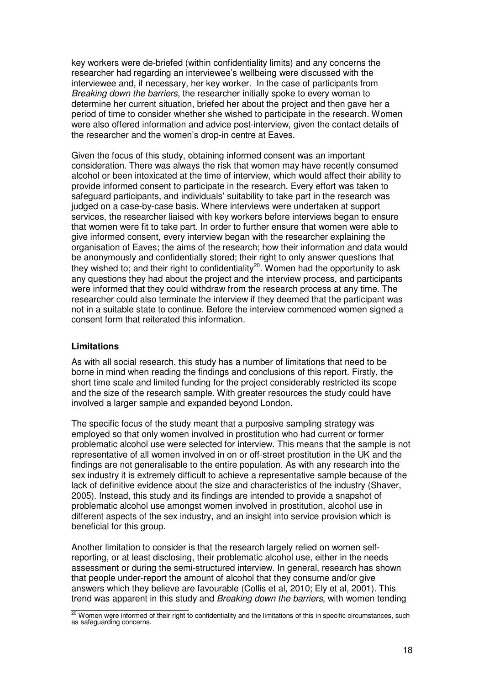key workers were de-briefed (within confidentiality limits) and any concerns the researcher had regarding an interviewee's wellbeing were discussed with the interviewee and, if necessary, her key worker. In the case of participants from Breaking down the barriers, the researcher initially spoke to every woman to determine her current situation, briefed her about the project and then gave her a period of time to consider whether she wished to participate in the research. Women were also offered information and advice post-interview, given the contact details of the researcher and the women's drop-in centre at Eaves.

Given the focus of this study, obtaining informed consent was an important consideration. There was always the risk that women may have recently consumed alcohol or been intoxicated at the time of interview, which would affect their ability to provide informed consent to participate in the research. Every effort was taken to safeguard participants, and individuals' suitability to take part in the research was judged on a case-by-case basis. Where interviews were undertaken at support services, the researcher liaised with key workers before interviews began to ensure that women were fit to take part. In order to further ensure that women were able to give informed consent, every interview began with the researcher explaining the organisation of Eaves; the aims of the research; how their information and data would be anonymously and confidentially stored; their right to only answer questions that they wished to; and their right to confidentiality<sup>20</sup>. Women had the opportunity to ask any questions they had about the project and the interview process, and participants were informed that they could withdraw from the research process at any time. The researcher could also terminate the interview if they deemed that the participant was not in a suitable state to continue. Before the interview commenced women signed a consent form that reiterated this information.

## **Limitations**

As with all social research, this study has a number of limitations that need to be borne in mind when reading the findings and conclusions of this report. Firstly, the short time scale and limited funding for the project considerably restricted its scope and the size of the research sample. With greater resources the study could have involved a larger sample and expanded beyond London.

The specific focus of the study meant that a purposive sampling strategy was employed so that only women involved in prostitution who had current or former problematic alcohol use were selected for interview. This means that the sample is not representative of all women involved in on or off-street prostitution in the UK and the findings are not generalisable to the entire population. As with any research into the sex industry it is extremely difficult to achieve a representative sample because of the lack of definitive evidence about the size and characteristics of the industry (Shaver, 2005). Instead, this study and its findings are intended to provide a snapshot of problematic alcohol use amongst women involved in prostitution, alcohol use in different aspects of the sex industry, and an insight into service provision which is beneficial for this group.

Another limitation to consider is that the research largely relied on women selfreporting, or at least disclosing, their problematic alcohol use, either in the needs assessment or during the semi-structured interview. In general, research has shown that people under-report the amount of alcohol that they consume and/or give answers which they believe are favourable (Collis et al, 2010; Ely et al, 2001). This trend was apparent in this study and Breaking down the barriers, with women tending

 $\frac{20}{20}$  Women were informed of their right to confidentiality and the limitations of this in specific circumstances, such as safeguarding concerns.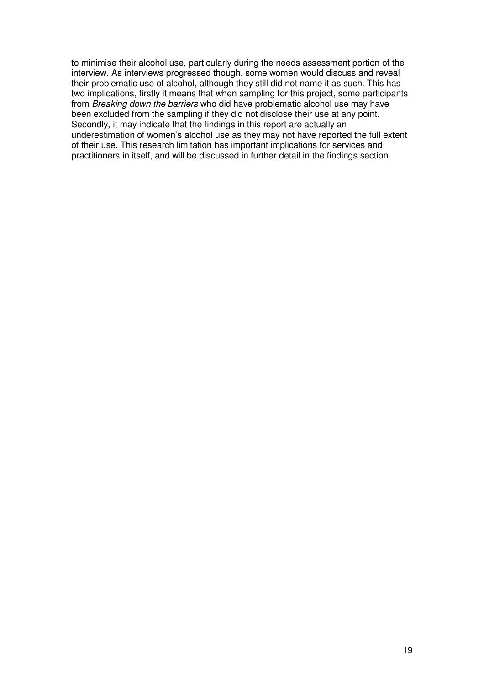to minimise their alcohol use, particularly during the needs assessment portion of the interview. As interviews progressed though, some women would discuss and reveal their problematic use of alcohol, although they still did not name it as such. This has two implications, firstly it means that when sampling for this project, some participants from Breaking down the barriers who did have problematic alcohol use may have been excluded from the sampling if they did not disclose their use at any point. Secondly, it may indicate that the findings in this report are actually an underestimation of women's alcohol use as they may not have reported the full extent of their use. This research limitation has important implications for services and practitioners in itself, and will be discussed in further detail in the findings section.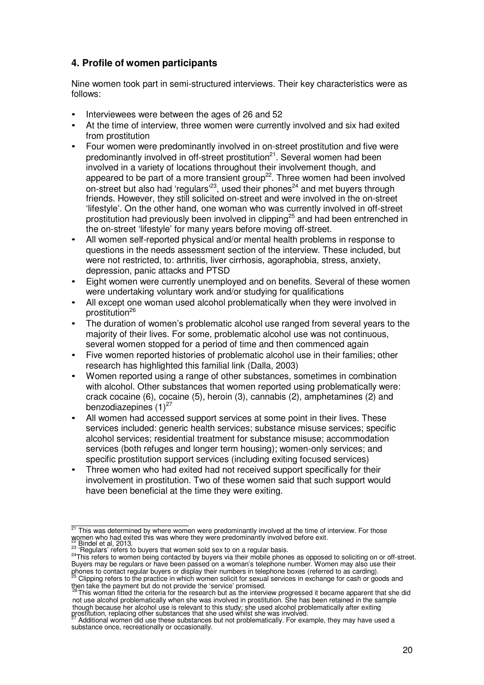# **4. Profile of women participants**

Nine women took part in semi-structured interviews. Their key characteristics were as follows:

- Interviewees were between the ages of 26 and 52
- At the time of interview, three women were currently involved and six had exited from prostitution
- Four women were predominantly involved in on-street prostitution and five were predominantly involved in off-street prostitution<sup>21</sup>. Several women had been involved in a variety of locations throughout their involvement though, and appeared to be part of a more transient group<sup>22</sup>. Three women had been involved on-street but also had 'regulars'<sup>23</sup>, used their phones<sup>24</sup> and met buyers through friends. However, they still solicited on-street and were involved in the on-street 'lifestyle'. On the other hand, one woman who was currently involved in off-street prostitution had previously been involved in clipping<sup>25</sup> and had been entrenched in the on-street 'lifestyle' for many years before moving off-street.
- All women self-reported physical and/or mental health problems in response to questions in the needs assessment section of the interview. These included, but were not restricted, to: arthritis, liver cirrhosis, agoraphobia, stress, anxiety, depression, panic attacks and PTSD
- Eight women were currently unemployed and on benefits. Several of these women were undertaking voluntary work and/or studying for qualifications
- All except one woman used alcohol problematically when they were involved in prostitution<sup>26</sup>
- The duration of women's problematic alcohol use ranged from several years to the majority of their lives. For some, problematic alcohol use was not continuous, several women stopped for a period of time and then commenced again
- Five women reported histories of problematic alcohol use in their families; other research has highlighted this familial link (Dalla, 2003)
- Women reported using a range of other substances, sometimes in combination with alcohol. Other substances that women reported using problematically were: crack cocaine (6), cocaine (5), heroin (3), cannabis (2), amphetamines (2) and benzodiazepines  $(1)^{27}$
- All women had accessed support services at some point in their lives. These services included: generic health services; substance misuse services; specific alcohol services; residential treatment for substance misuse; accommodation services (both refuges and longer term housing); women-only services; and specific prostitution support services (including exiting focused services)
- Three women who had exited had not received support specifically for their involvement in prostitution. Two of these women said that such support would have been beneficial at the time they were exiting.

then take the payment but do not provide the 'service' promised.<br><sup>26</sup>This woman fitted the criteria for the research but as the interview progressed it became apparent that she did

not use alcohol problematically when she was involved in prostitution. She has been retained in the sample though because her alcohol use is relevant to this study; she used alcohol problematically after exiting prostitution, replacing other substances that she used whilst she was involved.

 $21$  This was determined by where women were predominantly involved at the time of interview. For those women who had exited this was where they were predominantly involved before exit.<br>
22 Bindel et al, 2013.

<sup>23</sup> Binder et al. 2010.<br><sup>23</sup> 'Regulars' refers to buyers that women sold sex to on a regular basis.

<sup>24</sup>This refers to women being contacted by buyers via their mobile phones as opposed to soliciting on or off-street. Buyers may be regulars or have been passed on a woman's telephone number. Women may also use their phones to contact regular buyers or display their numbers in telephone boxes (referred to as carding).<br><sup>25</sup> Clipping refers to the practice in which women solicit for sexual services in exchange for cash or goods and

Additional women did use these substances but not problematically. For example, they may have used a substance once, recreationally or occasionally.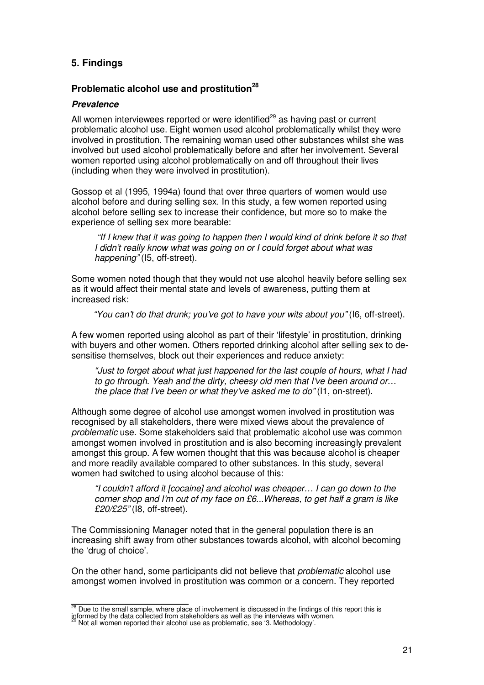# **5. Findings**

## **Problematic alcohol use and prostitution<sup>28</sup>**

#### **Prevalence**

All women interviewees reported or were identified $^{29}$  as having past or current problematic alcohol use. Eight women used alcohol problematically whilst they were involved in prostitution. The remaining woman used other substances whilst she was involved but used alcohol problematically before and after her involvement. Several women reported using alcohol problematically on and off throughout their lives (including when they were involved in prostitution).

Gossop et al (1995, 1994a) found that over three quarters of women would use alcohol before and during selling sex. In this study, a few women reported using alcohol before selling sex to increase their confidence, but more so to make the experience of selling sex more bearable:

"If I knew that it was going to happen then I would kind of drink before it so that I didn't really know what was going on or I could forget about what was happening" (I5, off-street).

Some women noted though that they would not use alcohol heavily before selling sex as it would affect their mental state and levels of awareness, putting them at increased risk:

"You can't do that drunk; you've got to have your wits about you" (I6, off-street).

A few women reported using alcohol as part of their 'lifestyle' in prostitution, drinking with buyers and other women. Others reported drinking alcohol after selling sex to desensitise themselves, block out their experiences and reduce anxiety:

"Just to forget about what just happened for the last couple of hours, what I had to go through. Yeah and the dirty, cheesy old men that I've been around or… the place that I've been or what they've asked me to do" (I1, on-street).

Although some degree of alcohol use amongst women involved in prostitution was recognised by all stakeholders, there were mixed views about the prevalence of problematic use. Some stakeholders said that problematic alcohol use was common amongst women involved in prostitution and is also becoming increasingly prevalent amongst this group. A few women thought that this was because alcohol is cheaper and more readily available compared to other substances. In this study, several women had switched to using alcohol because of this:

"I couldn't afford it [cocaine] and alcohol was cheaper… I can go down to the corner shop and I'm out of my face on £6...Whereas, to get half a gram is like £20/£25" (I8, off-street).

The Commissioning Manager noted that in the general population there is an increasing shift away from other substances towards alcohol, with alcohol becoming the 'drug of choice'.

On the other hand, some participants did not believe that problematic alcohol use amongst women involved in prostitution was common or a concern. They reported

 $28$  Due to the small sample, where place of involvement is discussed in the findings of this report this is

informed by the data collected from stakeholders as well as the interviews with women. Not all women reported their alcohol use as problematic, see '3. Methodology'.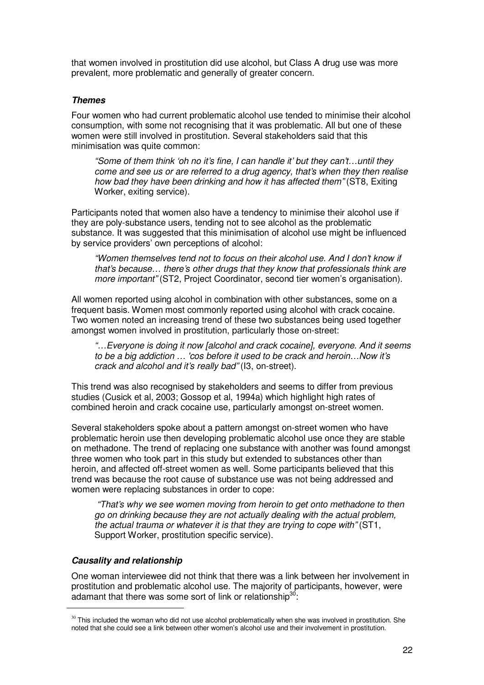that women involved in prostitution did use alcohol, but Class A drug use was more prevalent, more problematic and generally of greater concern.

#### **Themes**

Four women who had current problematic alcohol use tended to minimise their alcohol consumption, with some not recognising that it was problematic. All but one of these women were still involved in prostitution. Several stakeholders said that this minimisation was quite common:

"Some of them think 'oh no it's fine, I can handle it' but they can't…until they come and see us or are referred to a drug agency, that's when they then realise how bad they have been drinking and how it has affected them" (ST8, Exiting Worker, exiting service).

Participants noted that women also have a tendency to minimise their alcohol use if they are poly-substance users, tending not to see alcohol as the problematic substance. It was suggested that this minimisation of alcohol use might be influenced by service providers' own perceptions of alcohol:

"Women themselves tend not to focus on their alcohol use. And I don't know if that's because… there's other drugs that they know that professionals think are more important" (ST2, Project Coordinator, second tier women's organisation).

All women reported using alcohol in combination with other substances, some on a frequent basis. Women most commonly reported using alcohol with crack cocaine. Two women noted an increasing trend of these two substances being used together amongst women involved in prostitution, particularly those on-street:

"…Everyone is doing it now [alcohol and crack cocaine], everyone. And it seems to be a big addiction … 'cos before it used to be crack and heroin…Now it's crack and alcohol and it's really bad" (I3, on-street).

This trend was also recognised by stakeholders and seems to differ from previous studies (Cusick et al, 2003; Gossop et al, 1994a) which highlight high rates of combined heroin and crack cocaine use, particularly amongst on-street women.

Several stakeholders spoke about a pattern amongst on-street women who have problematic heroin use then developing problematic alcohol use once they are stable on methadone. The trend of replacing one substance with another was found amongst three women who took part in this study but extended to substances other than heroin, and affected off-street women as well. Some participants believed that this trend was because the root cause of substance use was not being addressed and women were replacing substances in order to cope:

"That's why we see women moving from heroin to get onto methadone to then go on drinking because they are not actually dealing with the actual problem, the actual trauma or whatever it is that they are trying to cope with" (ST1, Support Worker, prostitution specific service).

## **Causality and relationship**

l.

One woman interviewee did not think that there was a link between her involvement in prostitution and problematic alcohol use. The majority of participants, however, were adamant that there was some sort of link or relationship<sup>30</sup>:

 $30$  This included the woman who did not use alcohol problematically when she was involved in prostitution. She noted that she could see a link between other women's alcohol use and their involvement in prostitution.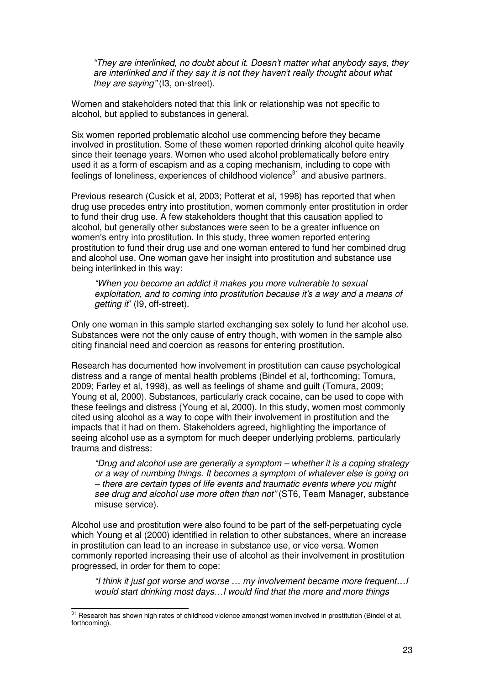"They are interlinked, no doubt about it. Doesn't matter what anybody says, they are interlinked and if they say it is not they haven't really thought about what they are saying" (I3, on-street).

Women and stakeholders noted that this link or relationship was not specific to alcohol, but applied to substances in general.

Six women reported problematic alcohol use commencing before they became involved in prostitution. Some of these women reported drinking alcohol quite heavily since their teenage years. Women who used alcohol problematically before entry used it as a form of escapism and as a coping mechanism, including to cope with feelings of loneliness, experiences of childhood violence<sup>31</sup> and abusive partners.

Previous research (Cusick et al, 2003; Potterat et al, 1998) has reported that when drug use precedes entry into prostitution, women commonly enter prostitution in order to fund their drug use. A few stakeholders thought that this causation applied to alcohol, but generally other substances were seen to be a greater influence on women's entry into prostitution. In this study, three women reported entering prostitution to fund their drug use and one woman entered to fund her combined drug and alcohol use. One woman gave her insight into prostitution and substance use being interlinked in this way:

"When you become an addict it makes you more vulnerable to sexual exploitation, and to coming into prostitution because it's a way and a means of getting it" (19, off-street).

Only one woman in this sample started exchanging sex solely to fund her alcohol use. Substances were not the only cause of entry though, with women in the sample also citing financial need and coercion as reasons for entering prostitution.

Research has documented how involvement in prostitution can cause psychological distress and a range of mental health problems (Bindel et al, forthcoming; Tomura, 2009; Farley et al, 1998), as well as feelings of shame and guilt (Tomura, 2009; Young et al, 2000). Substances, particularly crack cocaine, can be used to cope with these feelings and distress (Young et al, 2000). In this study, women most commonly cited using alcohol as a way to cope with their involvement in prostitution and the impacts that it had on them. Stakeholders agreed, highlighting the importance of seeing alcohol use as a symptom for much deeper underlying problems, particularly trauma and distress:

"Drug and alcohol use are generally a symptom – whether it is a coping strategy or a way of numbing things. It becomes a symptom of whatever else is going on – there are certain types of life events and traumatic events where you might see drug and alcohol use more often than not" (ST6, Team Manager, substance misuse service).

Alcohol use and prostitution were also found to be part of the self-perpetuating cycle which Young et al (2000) identified in relation to other substances, where an increase in prostitution can lead to an increase in substance use, or vice versa. Women commonly reported increasing their use of alcohol as their involvement in prostitution progressed, in order for them to cope:

"I think it just got worse and worse … my involvement became more frequent…I would start drinking most days…I would find that the more and more things

<sup>&</sup>lt;sup>31</sup> Research has shown high rates of childhood violence amongst women involved in prostitution (Bindel et al, forthcoming).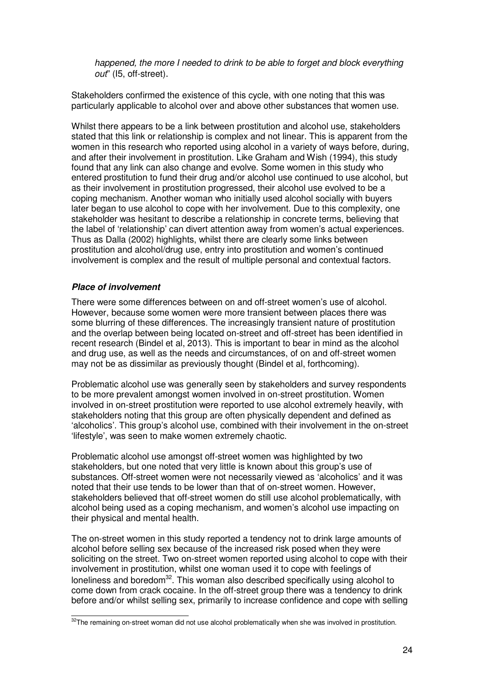happened, the more I needed to drink to be able to forget and block everything out" (I5, off-street).

Stakeholders confirmed the existence of this cycle, with one noting that this was particularly applicable to alcohol over and above other substances that women use.

Whilst there appears to be a link between prostitution and alcohol use, stakeholders stated that this link or relationship is complex and not linear. This is apparent from the women in this research who reported using alcohol in a variety of ways before, during, and after their involvement in prostitution. Like Graham and Wish (1994), this study found that any link can also change and evolve. Some women in this study who entered prostitution to fund their drug and/or alcohol use continued to use alcohol, but as their involvement in prostitution progressed, their alcohol use evolved to be a coping mechanism. Another woman who initially used alcohol socially with buyers later began to use alcohol to cope with her involvement. Due to this complexity, one stakeholder was hesitant to describe a relationship in concrete terms, believing that the label of 'relationship' can divert attention away from women's actual experiences. Thus as Dalla (2002) highlights, whilst there are clearly some links between prostitution and alcohol/drug use, entry into prostitution and women's continued involvement is complex and the result of multiple personal and contextual factors.

## **Place of involvement**

There were some differences between on and off-street women's use of alcohol. However, because some women were more transient between places there was some blurring of these differences. The increasingly transient nature of prostitution and the overlap between being located on-street and off-street has been identified in recent research (Bindel et al, 2013). This is important to bear in mind as the alcohol and drug use, as well as the needs and circumstances, of on and off-street women may not be as dissimilar as previously thought (Bindel et al, forthcoming).

Problematic alcohol use was generally seen by stakeholders and survey respondents to be more prevalent amongst women involved in on-street prostitution. Women involved in on-street prostitution were reported to use alcohol extremely heavily, with stakeholders noting that this group are often physically dependent and defined as 'alcoholics'. This group's alcohol use, combined with their involvement in the on-street 'lifestyle', was seen to make women extremely chaotic.

Problematic alcohol use amongst off-street women was highlighted by two stakeholders, but one noted that very little is known about this group's use of substances. Off-street women were not necessarily viewed as 'alcoholics' and it was noted that their use tends to be lower than that of on-street women. However, stakeholders believed that off-street women do still use alcohol problematically, with alcohol being used as a coping mechanism, and women's alcohol use impacting on their physical and mental health.

The on-street women in this study reported a tendency not to drink large amounts of alcohol before selling sex because of the increased risk posed when they were soliciting on the street. Two on-street women reported using alcohol to cope with their involvement in prostitution, whilst one woman used it to cope with feelings of loneliness and boredom<sup>32</sup>. This woman also described specifically using alcohol to come down from crack cocaine. In the off-street group there was a tendency to drink before and/or whilst selling sex, primarily to increase confidence and cope with selling

<sup>&</sup>lt;sup>32</sup>The remaining on-street woman did not use alcohol problematically when she was involved in prostitution.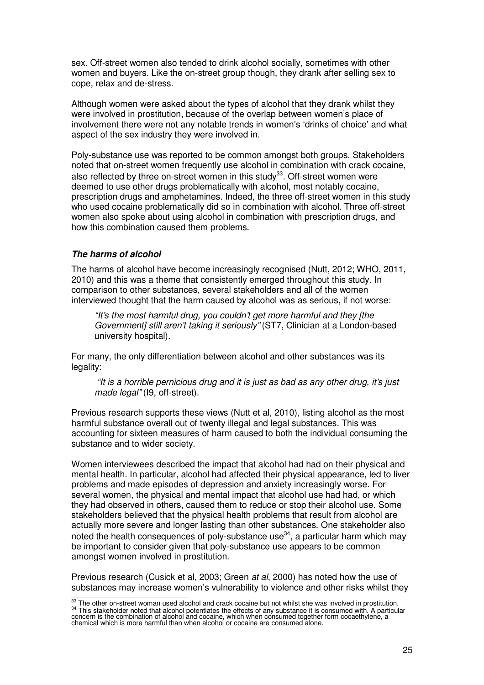sex. Off-street women also tended to drink alcohol socially, sometimes with other women and buyers. Like the on-street group though, they drank after selling sex to cope, relax and de-stress.

Although women were asked about the types of alcohol that they drank whilst they were involved in prostitution, because of the overlap between women's place of involvement there were not any notable trends in women's 'drinks of choice' and what aspect of the sex industry they were involved in.

Poly-substance use was reported to be common amongst both groups. Stakeholders noted that on-street women frequently use alcohol in combination with crack cocaine, also reflected by three on-street women in this study<sup>33</sup>. Off-street women were deemed to use other drugs problematically with alcohol, most notably cocaine, prescription drugs and amphetamines. Indeed, the three off-street women in this study who used cocaine problematically did so in combination with alcohol. Three off-street women also spoke about using alcohol in combination with prescription drugs, and how this combination caused them problems.

## **The harms of alcohol**

The harms of alcohol have become increasingly recognised (Nutt, 2012; WHO, 2011, 2010) and this was a theme that consistently emerged throughout this study. In comparison to other substances, several stakeholders and all of the women interviewed thought that the harm caused by alcohol was as serious, if not worse:

"It's the most harmful drug, you couldn't get more harmful and they [the Government] still aren't taking it seriously" (ST7, Clinician at a London-based university hospital).

For many, the only differentiation between alcohol and other substances was its legality:

"It is a horrible pernicious drug and it is just as bad as any other drug, it's just made legal" (19, off-street).

Previous research supports these views (Nutt et al, 2010), listing alcohol as the most harmful substance overall out of twenty illegal and legal substances. This was accounting for sixteen measures of harm caused to both the individual consuming the substance and to wider society.

Women interviewees described the impact that alcohol had had on their physical and mental health. In particular, alcohol had affected their physical appearance, led to liver problems and made episodes of depression and anxiety increasingly worse. For several women, the physical and mental impact that alcohol use had had, or which they had observed in others, caused them to reduce or stop their alcohol use. Some stakeholders believed that the physical health problems that result from alcohol are actually more severe and longer lasting than other substances. One stakeholder also noted the health consequences of poly-substance use<sup>34</sup>, a particular harm which may be important to consider given that poly-substance use appears to be common amongst women involved in prostitution.

Previous research (Cusick et al, 2003; Green at al, 2000) has noted how the use of substances may increase women's vulnerability to violence and other risks whilst they

<sup>&</sup>lt;sup>33</sup>The other on-street woman used alcohol and crack cocaine but not whilst she was involved in prostitution. <sup>34</sup> This stakeholder noted that alcohol potentiates the effects of any substance it is consumed with. A particular<br>concern is the combination of alcohol and cocaine, which when consumed together form cocaethylene, a<br>chemi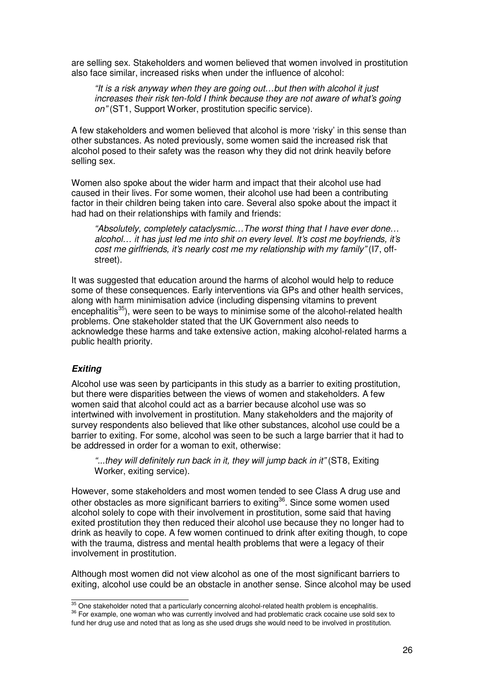are selling sex. Stakeholders and women believed that women involved in prostitution also face similar, increased risks when under the influence of alcohol:

"It is a risk anyway when they are going out…but then with alcohol it just increases their risk ten-fold I think because they are not aware of what's going on" (ST1, Support Worker, prostitution specific service).

A few stakeholders and women believed that alcohol is more 'risky' in this sense than other substances. As noted previously, some women said the increased risk that alcohol posed to their safety was the reason why they did not drink heavily before selling sex.

Women also spoke about the wider harm and impact that their alcohol use had caused in their lives. For some women, their alcohol use had been a contributing factor in their children being taken into care. Several also spoke about the impact it had had on their relationships with family and friends:

"Absolutely, completely cataclysmic…The worst thing that I have ever done… alcohol… it has just led me into shit on every level. It's cost me boyfriends, it's cost me girlfriends, it's nearly cost me my relationship with my family" (I7, offstreet).

It was suggested that education around the harms of alcohol would help to reduce some of these consequences. Early interventions via GPs and other health services, along with harm minimisation advice (including dispensing vitamins to prevent encephalitis<sup>35</sup>), were seen to be ways to minimise some of the alcohol-related health problems. One stakeholder stated that the UK Government also needs to acknowledge these harms and take extensive action, making alcohol-related harms a public health priority.

## **Exiting**

Alcohol use was seen by participants in this study as a barrier to exiting prostitution, but there were disparities between the views of women and stakeholders. A few women said that alcohol could act as a barrier because alcohol use was so intertwined with involvement in prostitution. Many stakeholders and the majority of survey respondents also believed that like other substances, alcohol use could be a barrier to exiting. For some, alcohol was seen to be such a large barrier that it had to be addressed in order for a woman to exit, otherwise:

"...they will definitely run back in it, they will jump back in it" (ST8, Exiting Worker, exiting service).

However, some stakeholders and most women tended to see Class A drug use and other obstacles as more significant barriers to exiting<sup>36</sup>. Since some women used alcohol solely to cope with their involvement in prostitution, some said that having exited prostitution they then reduced their alcohol use because they no longer had to drink as heavily to cope. A few women continued to drink after exiting though, to cope with the trauma, distress and mental health problems that were a legacy of their involvement in prostitution.

Although most women did not view alcohol as one of the most significant barriers to exiting, alcohol use could be an obstacle in another sense. Since alcohol may be used

fund her drug use and noted that as long as she used drugs she would need to be involved in prostitution.  $\frac{35}{35}$  One stakeholder noted that a particularly concerning alcohol-related health problem is encephalitis. 36 For example, one woman who was currently involved and had problematic crack cocaine use sold sex to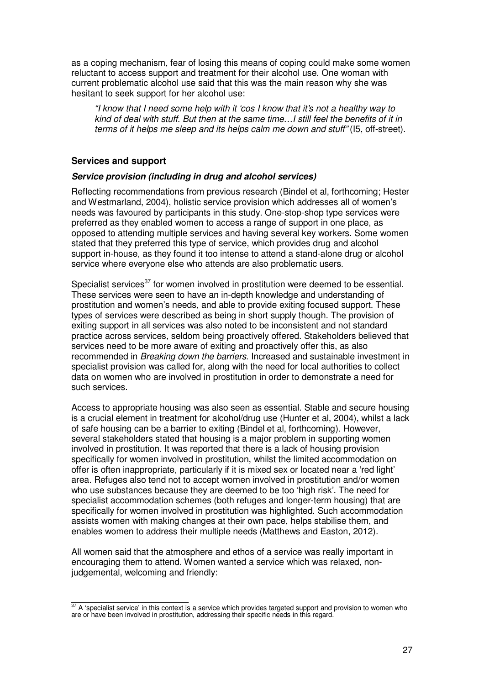as a coping mechanism, fear of losing this means of coping could make some women reluctant to access support and treatment for their alcohol use. One woman with current problematic alcohol use said that this was the main reason why she was hesitant to seek support for her alcohol use:

"I know that I need some help with it 'cos I know that it's not a healthy way to kind of deal with stuff. But then at the same time…I still feel the benefits of it in terms of it helps me sleep and its helps calm me down and stuff" (I5, off-street).

## **Services and support**

#### **Service provision (including in drug and alcohol services)**

Reflecting recommendations from previous research (Bindel et al, forthcoming; Hester and Westmarland, 2004), holistic service provision which addresses all of women's needs was favoured by participants in this study. One-stop-shop type services were preferred as they enabled women to access a range of support in one place, as opposed to attending multiple services and having several key workers. Some women stated that they preferred this type of service, which provides drug and alcohol support in-house, as they found it too intense to attend a stand-alone drug or alcohol service where everyone else who attends are also problematic users.

Specialist services<sup>37</sup> for women involved in prostitution were deemed to be essential. These services were seen to have an in-depth knowledge and understanding of prostitution and women's needs, and able to provide exiting focused support. These types of services were described as being in short supply though. The provision of exiting support in all services was also noted to be inconsistent and not standard practice across services, seldom being proactively offered. Stakeholders believed that services need to be more aware of exiting and proactively offer this, as also recommended in Breaking down the barriers. Increased and sustainable investment in specialist provision was called for, along with the need for local authorities to collect data on women who are involved in prostitution in order to demonstrate a need for such services.

Access to appropriate housing was also seen as essential. Stable and secure housing is a crucial element in treatment for alcohol/drug use (Hunter et al, 2004), whilst a lack of safe housing can be a barrier to exiting (Bindel et al, forthcoming). However, several stakeholders stated that housing is a major problem in supporting women involved in prostitution. It was reported that there is a lack of housing provision specifically for women involved in prostitution, whilst the limited accommodation on offer is often inappropriate, particularly if it is mixed sex or located near a 'red light' area. Refuges also tend not to accept women involved in prostitution and/or women who use substances because they are deemed to be too 'high risk'. The need for specialist accommodation schemes (both refuges and longer-term housing) that are specifically for women involved in prostitution was highlighted. Such accommodation assists women with making changes at their own pace, helps stabilise them, and enables women to address their multiple needs (Matthews and Easton, 2012).

All women said that the atmosphere and ethos of a service was really important in encouraging them to attend. Women wanted a service which was relaxed, nonjudgemental, welcoming and friendly:

 $37$  A 'specialist service' in this context is a service which provides targeted support and provision to women who are or have been involved in prostitution, addressing their specific needs in this regard.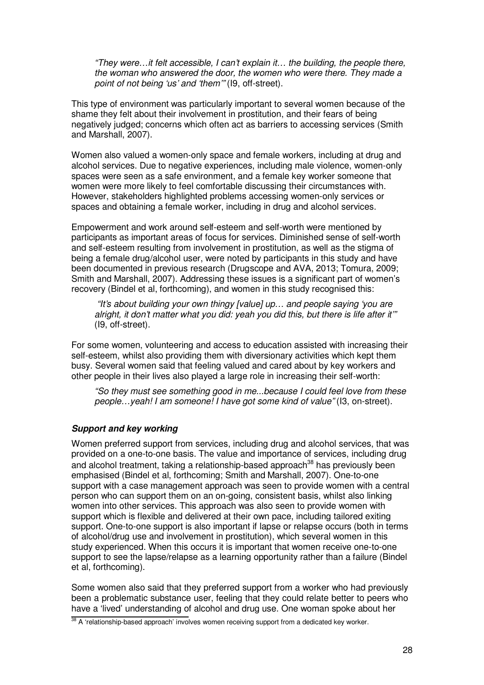"They were…it felt accessible, I can't explain it… the building, the people there, the woman who answered the door, the women who were there. They made a point of not being 'us' and 'them'" (I9, off-street).

This type of environment was particularly important to several women because of the shame they felt about their involvement in prostitution, and their fears of being negatively judged; concerns which often act as barriers to accessing services (Smith and Marshall, 2007).

Women also valued a women-only space and female workers, including at drug and alcohol services. Due to negative experiences, including male violence, women-only spaces were seen as a safe environment, and a female key worker someone that women were more likely to feel comfortable discussing their circumstances with. However, stakeholders highlighted problems accessing women-only services or spaces and obtaining a female worker, including in drug and alcohol services.

Empowerment and work around self-esteem and self-worth were mentioned by participants as important areas of focus for services. Diminished sense of self-worth and self-esteem resulting from involvement in prostitution, as well as the stigma of being a female drug/alcohol user, were noted by participants in this study and have been documented in previous research (Drugscope and AVA, 2013; Tomura, 2009; Smith and Marshall, 2007). Addressing these issues is a significant part of women's recovery (Bindel et al, forthcoming), and women in this study recognised this:

"It's about building your own thingy [value] up… and people saying 'you are alright, it don't matter what you did: yeah you did this, but there is life after it'" (I9, off-street).

For some women, volunteering and access to education assisted with increasing their self-esteem, whilst also providing them with diversionary activities which kept them busy. Several women said that feeling valued and cared about by key workers and other people in their lives also played a large role in increasing their self-worth:

"So they must see something good in me...because I could feel love from these people…yeah! I am someone! I have got some kind of value" (I3, on-street).

## **Support and key working**

Women preferred support from services, including drug and alcohol services, that was provided on a one-to-one basis. The value and importance of services, including drug and alcohol treatment, taking a relationship-based approach<sup>38</sup> has previously been emphasised (Bindel et al, forthcoming; Smith and Marshall, 2007). One-to-one support with a case management approach was seen to provide women with a central person who can support them on an on-going, consistent basis, whilst also linking women into other services. This approach was also seen to provide women with support which is flexible and delivered at their own pace, including tailored exiting support. One-to-one support is also important if lapse or relapse occurs (both in terms of alcohol/drug use and involvement in prostitution), which several women in this study experienced. When this occurs it is important that women receive one-to-one support to see the lapse/relapse as a learning opportunity rather than a failure (Bindel et al, forthcoming).

Some women also said that they preferred support from a worker who had previously been a problematic substance user, feeling that they could relate better to peers who have a 'lived' understanding of alcohol and drug use. One woman spoke about her

<sup>38</sup> A 'relationship-based approach' involves women receiving support from a dedicated key worker.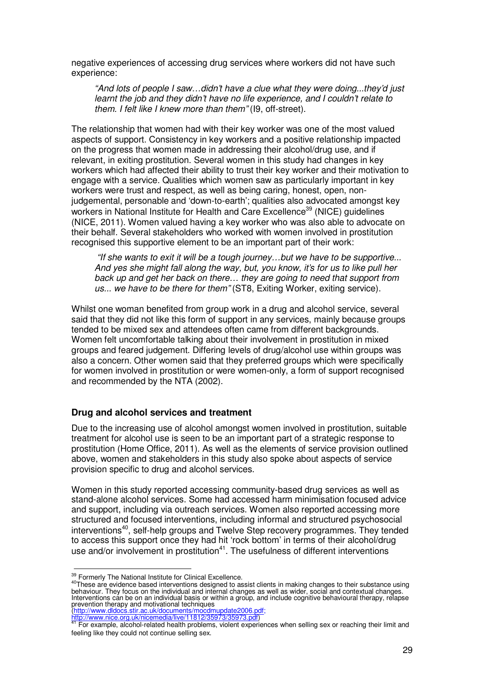negative experiences of accessing drug services where workers did not have such experience:

"And lots of people I saw…didn't have a clue what they were doing...they'd just learnt the job and they didn't have no life experience, and I couldn't relate to them. I felt like I knew more than them" (I9, off-street).

The relationship that women had with their key worker was one of the most valued aspects of support. Consistency in key workers and a positive relationship impacted on the progress that women made in addressing their alcohol/drug use, and if relevant, in exiting prostitution. Several women in this study had changes in key workers which had affected their ability to trust their key worker and their motivation to engage with a service. Qualities which women saw as particularly important in key workers were trust and respect, as well as being caring, honest, open, nonjudgemental, personable and 'down-to-earth'; qualities also advocated amongst key workers in National Institute for Health and Care Excellence<sup>39</sup> (NICE) quidelines (NICE, 2011). Women valued having a key worker who was also able to advocate on their behalf. Several stakeholders who worked with women involved in prostitution recognised this supportive element to be an important part of their work:

"If she wants to exit it will be a tough journey…but we have to be supportive... And yes she might fall along the way, but, you know, it's for us to like pull her back up and get her back on there… they are going to need that support from us... we have to be there for them" (ST8, Exiting Worker, exiting service).

Whilst one woman benefited from group work in a drug and alcohol service, several said that they did not like this form of support in any services, mainly because groups tended to be mixed sex and attendees often came from different backgrounds. Women felt uncomfortable talking about their involvement in prostitution in mixed groups and feared judgement. Differing levels of drug/alcohol use within groups was also a concern. Other women said that they preferred groups which were specifically for women involved in prostitution or were women-only, a form of support recognised and recommended by the NTA (2002).

## **Drug and alcohol services and treatment**

Due to the increasing use of alcohol amongst women involved in prostitution, suitable treatment for alcohol use is seen to be an important part of a strategic response to prostitution (Home Office, 2011). As well as the elements of service provision outlined above, women and stakeholders in this study also spoke about aspects of service provision specific to drug and alcohol services.

Women in this study reported accessing community-based drug services as well as stand-alone alcohol services. Some had accessed harm minimisation focused advice and support, including via outreach services. Women also reported accessing more structured and focused interventions, including informal and structured psychosocial interventions<sup>40</sup>, self-help groups and Twelve Step recovery programmes. They tended to access this support once they had hit 'rock bottom' in terms of their alcohol/drug use and/or involvement in prostitution $41$ . The usefulness of different interventions

(http://www.dldocs.stir.ac.uk/documents/mocdmupdate2006.pdf; http://www.nice.org.uk/nicemedia/live/11812/35973/35973.pdf)

<sup>39</sup> Formerly The National Institute for Clinical Excellence.

 $40$ These are evidence based interventions designed to assist clients in making changes to their substance using behaviour. They focus on the individual and internal changes as well as wider, social and contextual changes. Interventions can be on an individual basis or within a group, and include cognitive behavioural therapy, relapse prevention therapy and motivational techniques

<sup>41</sup>For example, alcohol-related health problems, violent experiences when selling sex or reaching their limit and feeling like they could not continue selling sex.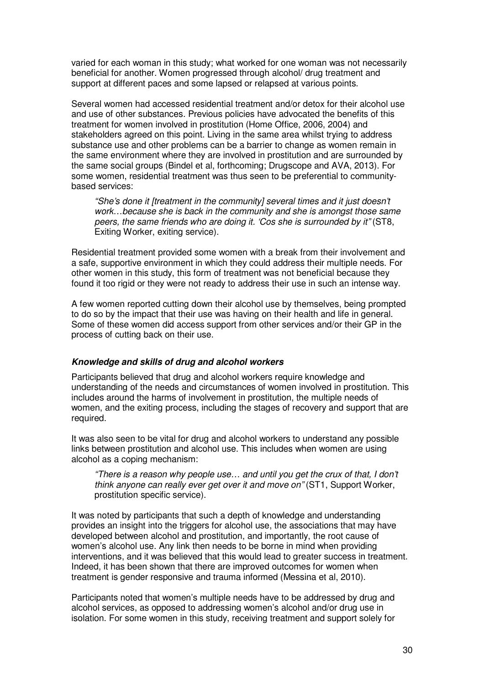varied for each woman in this study; what worked for one woman was not necessarily beneficial for another. Women progressed through alcohol/ drug treatment and support at different paces and some lapsed or relapsed at various points.

Several women had accessed residential treatment and/or detox for their alcohol use and use of other substances. Previous policies have advocated the benefits of this treatment for women involved in prostitution (Home Office, 2006, 2004) and stakeholders agreed on this point. Living in the same area whilst trying to address substance use and other problems can be a barrier to change as women remain in the same environment where they are involved in prostitution and are surrounded by the same social groups (Bindel et al, forthcoming; Drugscope and AVA, 2013). For some women, residential treatment was thus seen to be preferential to communitybased services:

"She's done it [treatment in the community] several times and it just doesn't work…because she is back in the community and she is amongst those same peers, the same friends who are doing it. 'Cos she is surrounded by it" (ST8, Exiting Worker, exiting service).

Residential treatment provided some women with a break from their involvement and a safe, supportive environment in which they could address their multiple needs. For other women in this study, this form of treatment was not beneficial because they found it too rigid or they were not ready to address their use in such an intense way.

A few women reported cutting down their alcohol use by themselves, being prompted to do so by the impact that their use was having on their health and life in general. Some of these women did access support from other services and/or their GP in the process of cutting back on their use.

## **Knowledge and skills of drug and alcohol workers**

Participants believed that drug and alcohol workers require knowledge and understanding of the needs and circumstances of women involved in prostitution. This includes around the harms of involvement in prostitution, the multiple needs of women, and the exiting process, including the stages of recovery and support that are required.

It was also seen to be vital for drug and alcohol workers to understand any possible links between prostitution and alcohol use. This includes when women are using alcohol as a coping mechanism:

"There is a reason why people use… and until you get the crux of that, I don't think anyone can really ever get over it and move on" (ST1, Support Worker, prostitution specific service).

It was noted by participants that such a depth of knowledge and understanding provides an insight into the triggers for alcohol use, the associations that may have developed between alcohol and prostitution, and importantly, the root cause of women's alcohol use. Any link then needs to be borne in mind when providing interventions, and it was believed that this would lead to greater success in treatment. Indeed, it has been shown that there are improved outcomes for women when treatment is gender responsive and trauma informed (Messina et al, 2010).

Participants noted that women's multiple needs have to be addressed by drug and alcohol services, as opposed to addressing women's alcohol and/or drug use in isolation. For some women in this study, receiving treatment and support solely for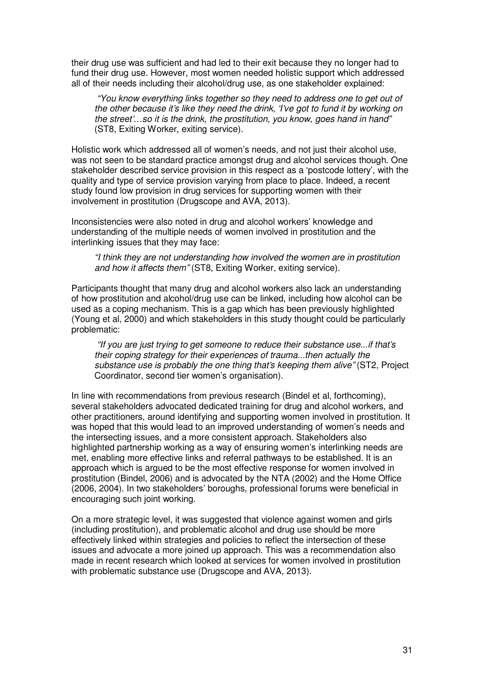their drug use was sufficient and had led to their exit because they no longer had to fund their drug use. However, most women needed holistic support which addressed all of their needs including their alcohol/drug use, as one stakeholder explained:

"You know everything links together so they need to address one to get out of the other because it's like they need the drink, 'I've got to fund it by working on the street'…so it is the drink, the prostitution, you know, goes hand in hand" (ST8, Exiting Worker, exiting service).

Holistic work which addressed all of women's needs, and not just their alcohol use, was not seen to be standard practice amongst drug and alcohol services though. One stakeholder described service provision in this respect as a 'postcode lottery', with the quality and type of service provision varying from place to place. Indeed, a recent study found low provision in drug services for supporting women with their involvement in prostitution (Drugscope and AVA, 2013).

Inconsistencies were also noted in drug and alcohol workers' knowledge and understanding of the multiple needs of women involved in prostitution and the interlinking issues that they may face:

"I think they are not understanding how involved the women are in prostitution and how it affects them" (ST8, Exiting Worker, exiting service).

Participants thought that many drug and alcohol workers also lack an understanding of how prostitution and alcohol/drug use can be linked, including how alcohol can be used as a coping mechanism. This is a gap which has been previously highlighted (Young et al, 2000) and which stakeholders in this study thought could be particularly problematic:

"If you are just trying to get someone to reduce their substance use...if that's their coping strategy for their experiences of trauma...then actually the substance use is probably the one thing that's keeping them alive" (ST2, Project Coordinator, second tier women's organisation).

In line with recommendations from previous research (Bindel et al, forthcoming), several stakeholders advocated dedicated training for drug and alcohol workers, and other practitioners, around identifying and supporting women involved in prostitution. It was hoped that this would lead to an improved understanding of women's needs and the intersecting issues, and a more consistent approach. Stakeholders also highlighted partnership working as a way of ensuring women's interlinking needs are met, enabling more effective links and referral pathways to be established. It is an approach which is argued to be the most effective response for women involved in prostitution (Bindel, 2006) and is advocated by the NTA (2002) and the Home Office (2006, 2004). In two stakeholders' boroughs, professional forums were beneficial in encouraging such joint working.

On a more strategic level, it was suggested that violence against women and girls (including prostitution), and problematic alcohol and drug use should be more effectively linked within strategies and policies to reflect the intersection of these issues and advocate a more joined up approach. This was a recommendation also made in recent research which looked at services for women involved in prostitution with problematic substance use (Drugscope and AVA, 2013).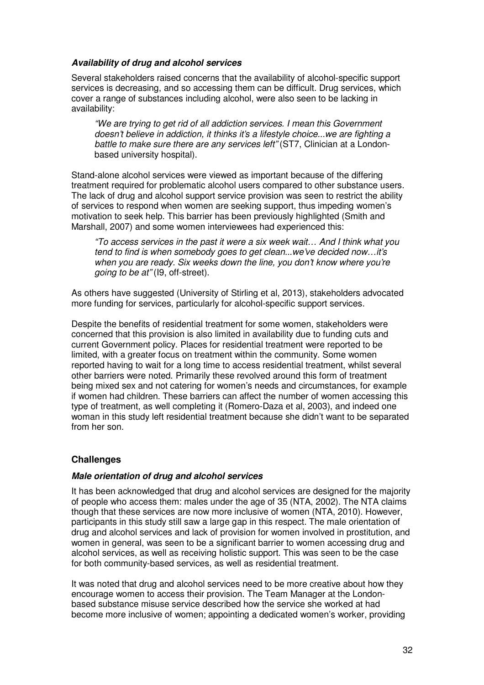## **Availability of drug and alcohol services**

Several stakeholders raised concerns that the availability of alcohol-specific support services is decreasing, and so accessing them can be difficult. Drug services, which cover a range of substances including alcohol, were also seen to be lacking in availability:

"We are trying to get rid of all addiction services. I mean this Government doesn't believe in addiction, it thinks it's a lifestyle choice...we are fighting a battle to make sure there are any services left" (ST7, Clinician at a Londonbased university hospital).

Stand-alone alcohol services were viewed as important because of the differing treatment required for problematic alcohol users compared to other substance users. The lack of drug and alcohol support service provision was seen to restrict the ability of services to respond when women are seeking support, thus impeding women's motivation to seek help. This barrier has been previously highlighted (Smith and Marshall, 2007) and some women interviewees had experienced this:

"To access services in the past it were a six week wait… And I think what you tend to find is when somebody goes to get clean...we've decided now…it's when you are ready. Six weeks down the line, you don't know where you're going to be at" (I9, off-street).

As others have suggested (University of Stirling et al, 2013), stakeholders advocated more funding for services, particularly for alcohol-specific support services.

Despite the benefits of residential treatment for some women, stakeholders were concerned that this provision is also limited in availability due to funding cuts and current Government policy. Places for residential treatment were reported to be limited, with a greater focus on treatment within the community. Some women reported having to wait for a long time to access residential treatment, whilst several other barriers were noted. Primarily these revolved around this form of treatment being mixed sex and not catering for women's needs and circumstances, for example if women had children. These barriers can affect the number of women accessing this type of treatment, as well completing it (Romero-Daza et al, 2003), and indeed one woman in this study left residential treatment because she didn't want to be separated from her son.

## **Challenges**

## **Male orientation of drug and alcohol services**

It has been acknowledged that drug and alcohol services are designed for the majority of people who access them: males under the age of 35 (NTA, 2002). The NTA claims though that these services are now more inclusive of women (NTA, 2010). However, participants in this study still saw a large gap in this respect. The male orientation of drug and alcohol services and lack of provision for women involved in prostitution, and women in general, was seen to be a significant barrier to women accessing drug and alcohol services, as well as receiving holistic support. This was seen to be the case for both community-based services, as well as residential treatment.

It was noted that drug and alcohol services need to be more creative about how they encourage women to access their provision. The Team Manager at the Londonbased substance misuse service described how the service she worked at had become more inclusive of women; appointing a dedicated women's worker, providing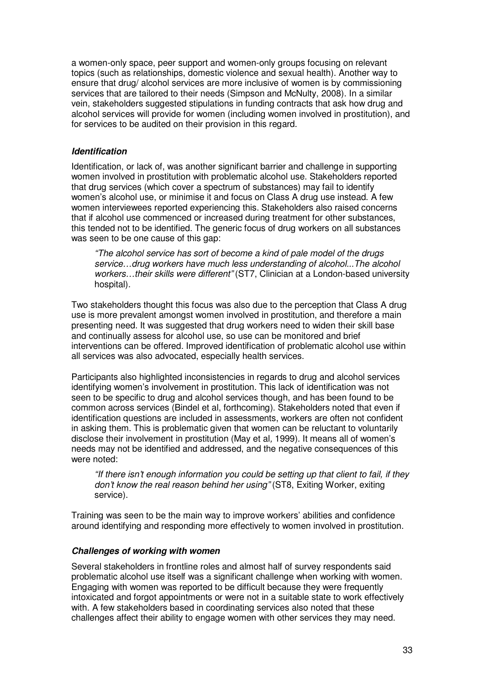a women-only space, peer support and women-only groups focusing on relevant topics (such as relationships, domestic violence and sexual health). Another way to ensure that drug/ alcohol services are more inclusive of women is by commissioning services that are tailored to their needs (Simpson and McNulty, 2008). In a similar vein, stakeholders suggested stipulations in funding contracts that ask how drug and alcohol services will provide for women (including women involved in prostitution), and for services to be audited on their provision in this regard.

#### **Identification**

Identification, or lack of, was another significant barrier and challenge in supporting women involved in prostitution with problematic alcohol use. Stakeholders reported that drug services (which cover a spectrum of substances) may fail to identify women's alcohol use, or minimise it and focus on Class A drug use instead. A few women interviewees reported experiencing this. Stakeholders also raised concerns that if alcohol use commenced or increased during treatment for other substances, this tended not to be identified. The generic focus of drug workers on all substances was seen to be one cause of this gap:

"The alcohol service has sort of become a kind of pale model of the drugs service…drug workers have much less understanding of alcohol...The alcohol workers...their skills were different" (ST7, Clinician at a London-based university hospital).

Two stakeholders thought this focus was also due to the perception that Class A drug use is more prevalent amongst women involved in prostitution, and therefore a main presenting need. It was suggested that drug workers need to widen their skill base and continually assess for alcohol use, so use can be monitored and brief interventions can be offered. Improved identification of problematic alcohol use within all services was also advocated, especially health services.

Participants also highlighted inconsistencies in regards to drug and alcohol services identifying women's involvement in prostitution. This lack of identification was not seen to be specific to drug and alcohol services though, and has been found to be common across services (Bindel et al, forthcoming). Stakeholders noted that even if identification questions are included in assessments, workers are often not confident in asking them. This is problematic given that women can be reluctant to voluntarily disclose their involvement in prostitution (May et al, 1999). It means all of women's needs may not be identified and addressed, and the negative consequences of this were noted:

"If there isn't enough information you could be setting up that client to fail, if they don't know the real reason behind her using" (ST8, Exiting Worker, exiting service).

Training was seen to be the main way to improve workers' abilities and confidence around identifying and responding more effectively to women involved in prostitution.

#### **Challenges of working with women**

Several stakeholders in frontline roles and almost half of survey respondents said problematic alcohol use itself was a significant challenge when working with women. Engaging with women was reported to be difficult because they were frequently intoxicated and forgot appointments or were not in a suitable state to work effectively with. A few stakeholders based in coordinating services also noted that these challenges affect their ability to engage women with other services they may need.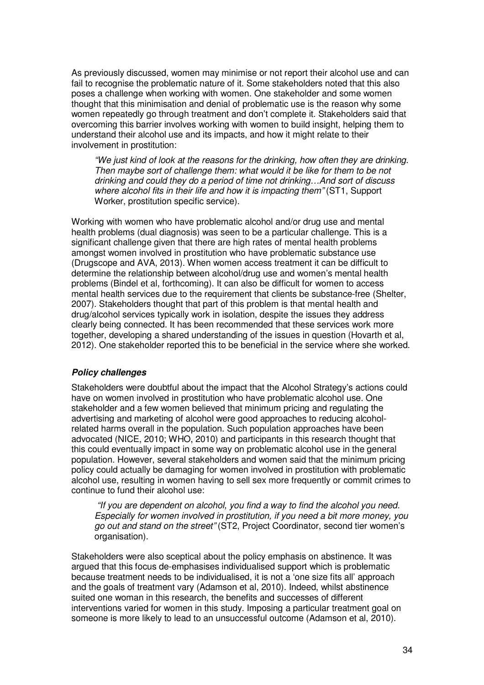As previously discussed, women may minimise or not report their alcohol use and can fail to recognise the problematic nature of it. Some stakeholders noted that this also poses a challenge when working with women. One stakeholder and some women thought that this minimisation and denial of problematic use is the reason why some women repeatedly go through treatment and don't complete it. Stakeholders said that overcoming this barrier involves working with women to build insight, helping them to understand their alcohol use and its impacts, and how it might relate to their involvement in prostitution:

"We just kind of look at the reasons for the drinking, how often they are drinking. Then maybe sort of challenge them: what would it be like for them to be not drinking and could they do a period of time not drinking…And sort of discuss where alcohol fits in their life and how it is impacting them" (ST1, Support Worker, prostitution specific service).

Working with women who have problematic alcohol and/or drug use and mental health problems (dual diagnosis) was seen to be a particular challenge. This is a significant challenge given that there are high rates of mental health problems amongst women involved in prostitution who have problematic substance use (Drugscope and AVA, 2013). When women access treatment it can be difficult to determine the relationship between alcohol/drug use and women's mental health problems (Bindel et al, forthcoming). It can also be difficult for women to access mental health services due to the requirement that clients be substance-free (Shelter, 2007). Stakeholders thought that part of this problem is that mental health and drug/alcohol services typically work in isolation, despite the issues they address clearly being connected. It has been recommended that these services work more together, developing a shared understanding of the issues in question (Hovarth et al, 2012). One stakeholder reported this to be beneficial in the service where she worked.

## **Policy challenges**

Stakeholders were doubtful about the impact that the Alcohol Strategy's actions could have on women involved in prostitution who have problematic alcohol use. One stakeholder and a few women believed that minimum pricing and regulating the advertising and marketing of alcohol were good approaches to reducing alcoholrelated harms overall in the population. Such population approaches have been advocated (NICE, 2010; WHO, 2010) and participants in this research thought that this could eventually impact in some way on problematic alcohol use in the general population. However, several stakeholders and women said that the minimum pricing policy could actually be damaging for women involved in prostitution with problematic alcohol use, resulting in women having to sell sex more frequently or commit crimes to continue to fund their alcohol use:

"If you are dependent on alcohol, you find a way to find the alcohol you need. Especially for women involved in prostitution, if you need a bit more money, you go out and stand on the street" (ST2, Project Coordinator, second tier women's organisation).

Stakeholders were also sceptical about the policy emphasis on abstinence. It was argued that this focus de-emphasises individualised support which is problematic because treatment needs to be individualised, it is not a 'one size fits all' approach and the goals of treatment vary (Adamson et al, 2010). Indeed, whilst abstinence suited one woman in this research, the benefits and successes of different interventions varied for women in this study. Imposing a particular treatment goal on someone is more likely to lead to an unsuccessful outcome (Adamson et al, 2010).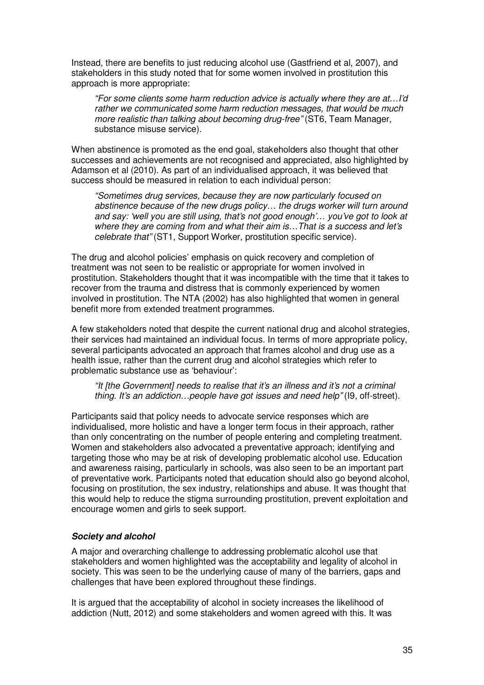Instead, there are benefits to just reducing alcohol use (Gastfriend et al, 2007), and stakeholders in this study noted that for some women involved in prostitution this approach is more appropriate:

"For some clients some harm reduction advice is actually where they are at…I'd rather we communicated some harm reduction messages, that would be much more realistic than talking about becoming drug-free" (ST6, Team Manager, substance misuse service).

When abstinence is promoted as the end goal, stakeholders also thought that other successes and achievements are not recognised and appreciated, also highlighted by Adamson et al (2010). As part of an individualised approach, it was believed that success should be measured in relation to each individual person:

"Sometimes drug services, because they are now particularly focused on abstinence because of the new drugs policy… the drugs worker will turn around and say: 'well you are still using, that's not good enough'… you've got to look at where they are coming from and what their aim is…That is a success and let's celebrate that" (ST1, Support Worker, prostitution specific service).

The drug and alcohol policies' emphasis on quick recovery and completion of treatment was not seen to be realistic or appropriate for women involved in prostitution. Stakeholders thought that it was incompatible with the time that it takes to recover from the trauma and distress that is commonly experienced by women involved in prostitution. The NTA (2002) has also highlighted that women in general benefit more from extended treatment programmes.

A few stakeholders noted that despite the current national drug and alcohol strategies, their services had maintained an individual focus. In terms of more appropriate policy, several participants advocated an approach that frames alcohol and drug use as a health issue, rather than the current drug and alcohol strategies which refer to problematic substance use as 'behaviour':

"It [the Government] needs to realise that it's an illness and it's not a criminal thing. It's an addiction…people have got issues and need help" (I9, off-street).

Participants said that policy needs to advocate service responses which are individualised, more holistic and have a longer term focus in their approach, rather than only concentrating on the number of people entering and completing treatment. Women and stakeholders also advocated a preventative approach; identifying and targeting those who may be at risk of developing problematic alcohol use. Education and awareness raising, particularly in schools, was also seen to be an important part of preventative work. Participants noted that education should also go beyond alcohol, focusing on prostitution, the sex industry, relationships and abuse. It was thought that this would help to reduce the stigma surrounding prostitution, prevent exploitation and encourage women and girls to seek support.

## **Society and alcohol**

A major and overarching challenge to addressing problematic alcohol use that stakeholders and women highlighted was the acceptability and legality of alcohol in society. This was seen to be the underlying cause of many of the barriers, gaps and challenges that have been explored throughout these findings.

It is argued that the acceptability of alcohol in society increases the likelihood of addiction (Nutt, 2012) and some stakeholders and women agreed with this. It was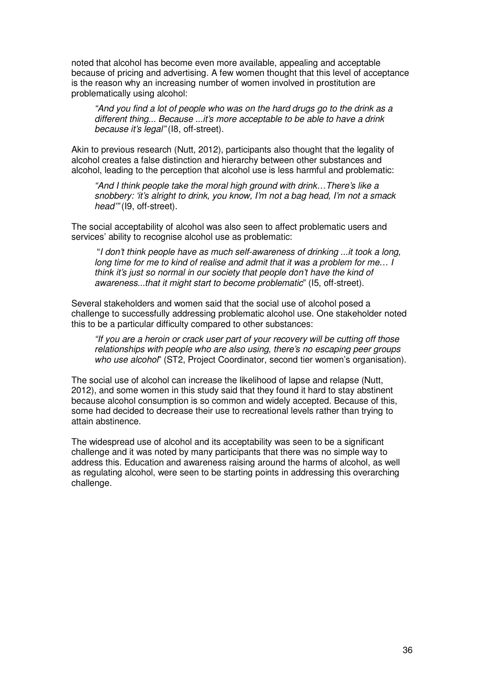noted that alcohol has become even more available, appealing and acceptable because of pricing and advertising. A few women thought that this level of acceptance is the reason why an increasing number of women involved in prostitution are problematically using alcohol:

"And you find a lot of people who was on the hard drugs go to the drink as a different thing... Because ...it's more acceptable to be able to have a drink because it's legal" (I8, off-street).

Akin to previous research (Nutt, 2012), participants also thought that the legality of alcohol creates a false distinction and hierarchy between other substances and alcohol, leading to the perception that alcohol use is less harmful and problematic:

"And I think people take the moral high ground with drink…There's like a snobbery: 'it's alright to drink, you know, I'm not a bag head, I'm not a smack head'" (I9, off-street).

The social acceptability of alcohol was also seen to affect problematic users and services' ability to recognise alcohol use as problematic:

"I don't think people have as much self-awareness of drinking ...it took a long, long time for me to kind of realise and admit that it was a problem for me… I think it's just so normal in our society that people don't have the kind of awareness...that it might start to become problematic" (I5, off-street).

Several stakeholders and women said that the social use of alcohol posed a challenge to successfully addressing problematic alcohol use. One stakeholder noted this to be a particular difficulty compared to other substances:

"If you are a heroin or crack user part of your recovery will be cutting off those relationships with people who are also using, there's no escaping peer groups who use alcohol" (ST2, Project Coordinator, second tier women's organisation).

The social use of alcohol can increase the likelihood of lapse and relapse (Nutt, 2012), and some women in this study said that they found it hard to stay abstinent because alcohol consumption is so common and widely accepted. Because of this, some had decided to decrease their use to recreational levels rather than trying to attain abstinence.

The widespread use of alcohol and its acceptability was seen to be a significant challenge and it was noted by many participants that there was no simple way to address this. Education and awareness raising around the harms of alcohol, as well as regulating alcohol, were seen to be starting points in addressing this overarching challenge.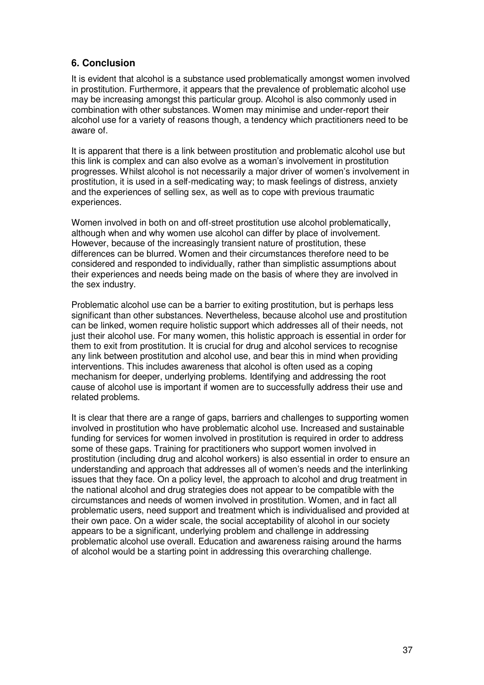# **6. Conclusion**

It is evident that alcohol is a substance used problematically amongst women involved in prostitution. Furthermore, it appears that the prevalence of problematic alcohol use may be increasing amongst this particular group. Alcohol is also commonly used in combination with other substances. Women may minimise and under-report their alcohol use for a variety of reasons though, a tendency which practitioners need to be aware of.

It is apparent that there is a link between prostitution and problematic alcohol use but this link is complex and can also evolve as a woman's involvement in prostitution progresses. Whilst alcohol is not necessarily a major driver of women's involvement in prostitution, it is used in a self-medicating way; to mask feelings of distress, anxiety and the experiences of selling sex, as well as to cope with previous traumatic experiences.

Women involved in both on and off-street prostitution use alcohol problematically, although when and why women use alcohol can differ by place of involvement. However, because of the increasingly transient nature of prostitution, these differences can be blurred. Women and their circumstances therefore need to be considered and responded to individually, rather than simplistic assumptions about their experiences and needs being made on the basis of where they are involved in the sex industry.

Problematic alcohol use can be a barrier to exiting prostitution, but is perhaps less significant than other substances. Nevertheless, because alcohol use and prostitution can be linked, women require holistic support which addresses all of their needs, not just their alcohol use. For many women, this holistic approach is essential in order for them to exit from prostitution. It is crucial for drug and alcohol services to recognise any link between prostitution and alcohol use, and bear this in mind when providing interventions. This includes awareness that alcohol is often used as a coping mechanism for deeper, underlying problems. Identifying and addressing the root cause of alcohol use is important if women are to successfully address their use and related problems.

It is clear that there are a range of gaps, barriers and challenges to supporting women involved in prostitution who have problematic alcohol use. Increased and sustainable funding for services for women involved in prostitution is required in order to address some of these gaps. Training for practitioners who support women involved in prostitution (including drug and alcohol workers) is also essential in order to ensure an understanding and approach that addresses all of women's needs and the interlinking issues that they face. On a policy level, the approach to alcohol and drug treatment in the national alcohol and drug strategies does not appear to be compatible with the circumstances and needs of women involved in prostitution. Women, and in fact all problematic users, need support and treatment which is individualised and provided at their own pace. On a wider scale, the social acceptability of alcohol in our society appears to be a significant, underlying problem and challenge in addressing problematic alcohol use overall. Education and awareness raising around the harms of alcohol would be a starting point in addressing this overarching challenge.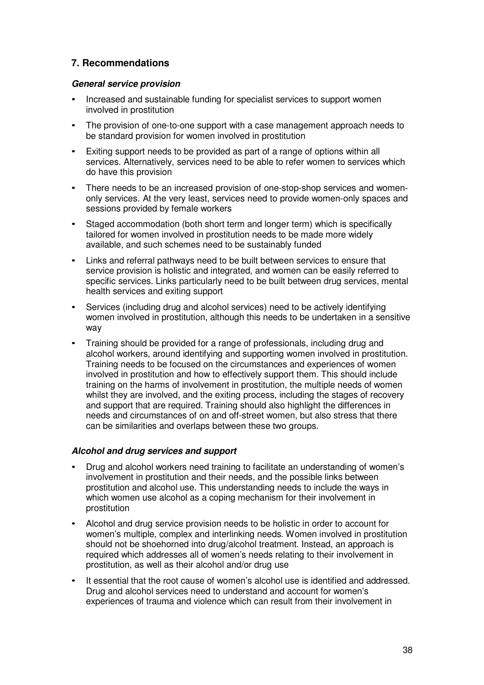# **7. Recommendations**

## **General service provision**

- Increased and sustainable funding for specialist services to support women involved in prostitution
- The provision of one-to-one support with a case management approach needs to be standard provision for women involved in prostitution
- Exiting support needs to be provided as part of a range of options within all services. Alternatively, services need to be able to refer women to services which do have this provision
- There needs to be an increased provision of one-stop-shop services and womenonly services. At the very least, services need to provide women-only spaces and sessions provided by female workers
- Staged accommodation (both short term and longer term) which is specifically tailored for women involved in prostitution needs to be made more widely available, and such schemes need to be sustainably funded
- Links and referral pathways need to be built between services to ensure that service provision is holistic and integrated, and women can be easily referred to specific services. Links particularly need to be built between drug services, mental health services and exiting support
- Services (including drug and alcohol services) need to be actively identifying women involved in prostitution, although this needs to be undertaken in a sensitive way
- Training should be provided for a range of professionals, including drug and alcohol workers, around identifying and supporting women involved in prostitution. Training needs to be focused on the circumstances and experiences of women involved in prostitution and how to effectively support them. This should include training on the harms of involvement in prostitution, the multiple needs of women whilst they are involved, and the exiting process, including the stages of recovery and support that are required. Training should also highlight the differences in needs and circumstances of on and off-street women, but also stress that there can be similarities and overlaps between these two groups.

## **Alcohol and drug services and support**

- Drug and alcohol workers need training to facilitate an understanding of women's involvement in prostitution and their needs, and the possible links between prostitution and alcohol use. This understanding needs to include the ways in which women use alcohol as a coping mechanism for their involvement in prostitution
- Alcohol and drug service provision needs to be holistic in order to account for women's multiple, complex and interlinking needs. Women involved in prostitution should not be shoehorned into drug/alcohol treatment. Instead, an approach is required which addresses all of women's needs relating to their involvement in prostitution, as well as their alcohol and/or drug use
- It essential that the root cause of women's alcohol use is identified and addressed. Drug and alcohol services need to understand and account for women's experiences of trauma and violence which can result from their involvement in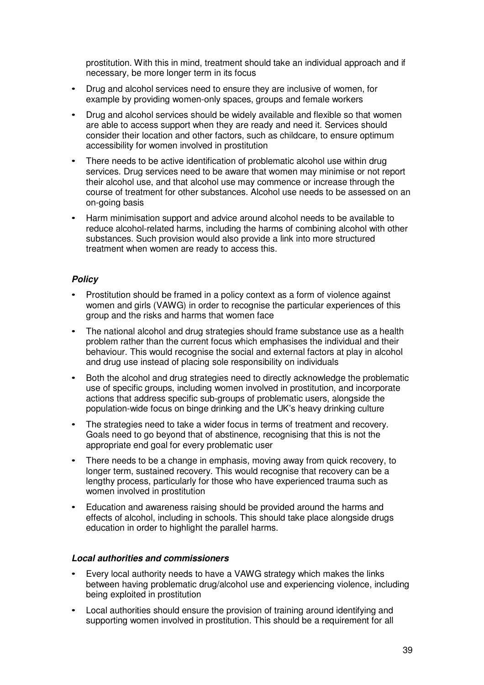prostitution. With this in mind, treatment should take an individual approach and if necessary, be more longer term in its focus

- Drug and alcohol services need to ensure they are inclusive of women, for example by providing women-only spaces, groups and female workers
- Drug and alcohol services should be widely available and flexible so that women are able to access support when they are ready and need it. Services should consider their location and other factors, such as childcare, to ensure optimum accessibility for women involved in prostitution
- There needs to be active identification of problematic alcohol use within drug services. Drug services need to be aware that women may minimise or not report their alcohol use, and that alcohol use may commence or increase through the course of treatment for other substances. Alcohol use needs to be assessed on an on-going basis
- Harm minimisation support and advice around alcohol needs to be available to reduce alcohol-related harms, including the harms of combining alcohol with other substances. Such provision would also provide a link into more structured treatment when women are ready to access this.

## **Policy**

- Prostitution should be framed in a policy context as a form of violence against women and girls (VAWG) in order to recognise the particular experiences of this group and the risks and harms that women face
- The national alcohol and drug strategies should frame substance use as a health problem rather than the current focus which emphasises the individual and their behaviour. This would recognise the social and external factors at play in alcohol and drug use instead of placing sole responsibility on individuals
- Both the alcohol and drug strategies need to directly acknowledge the problematic use of specific groups, including women involved in prostitution, and incorporate actions that address specific sub-groups of problematic users, alongside the population-wide focus on binge drinking and the UK's heavy drinking culture
- The strategies need to take a wider focus in terms of treatment and recovery. Goals need to go beyond that of abstinence, recognising that this is not the appropriate end goal for every problematic user
- There needs to be a change in emphasis, moving away from quick recovery, to longer term, sustained recovery. This would recognise that recovery can be a lengthy process, particularly for those who have experienced trauma such as women involved in prostitution
- Education and awareness raising should be provided around the harms and effects of alcohol, including in schools. This should take place alongside drugs education in order to highlight the parallel harms.

## **Local authorities and commissioners**

- Every local authority needs to have a VAWG strategy which makes the links between having problematic drug/alcohol use and experiencing violence, including being exploited in prostitution
- Local authorities should ensure the provision of training around identifying and supporting women involved in prostitution. This should be a requirement for all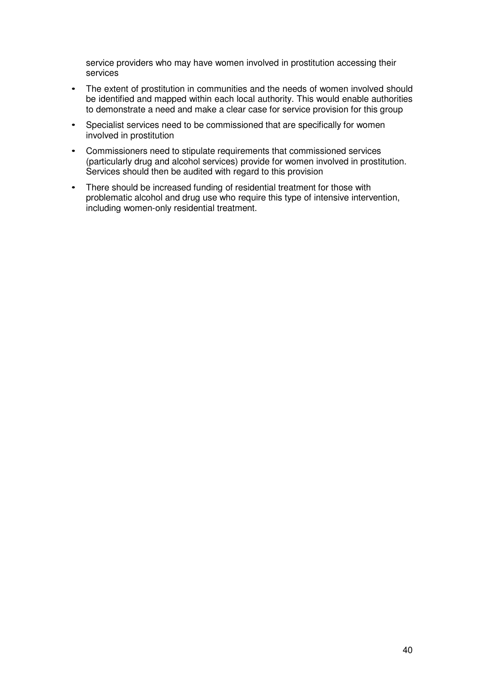service providers who may have women involved in prostitution accessing their services

- The extent of prostitution in communities and the needs of women involved should be identified and mapped within each local authority. This would enable authorities to demonstrate a need and make a clear case for service provision for this group
- Specialist services need to be commissioned that are specifically for women involved in prostitution
- Commissioners need to stipulate requirements that commissioned services (particularly drug and alcohol services) provide for women involved in prostitution. Services should then be audited with regard to this provision
- There should be increased funding of residential treatment for those with problematic alcohol and drug use who require this type of intensive intervention, including women-only residential treatment.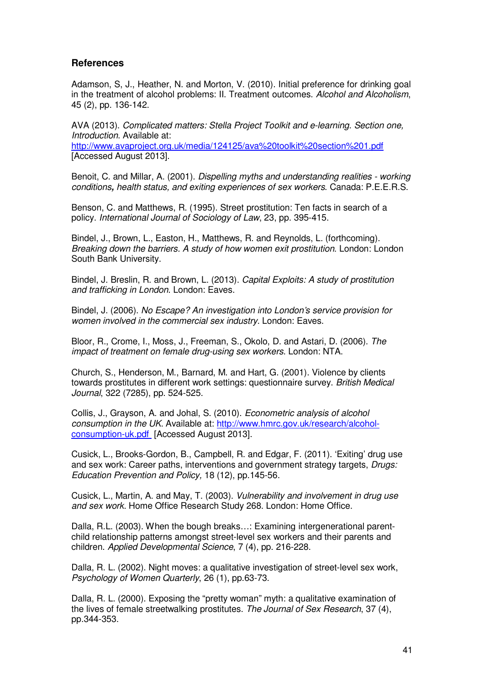## **References**

Adamson, S, J., Heather, N. and Morton, V. (2010). Initial preference for drinking goal in the treatment of alcohol problems: II. Treatment outcomes. Alcohol and Alcoholism, 45 (2), pp. 136-142.

AVA (2013). Complicated matters: Stella Project Toolkit and e-learning. Section one, Introduction. Available at: http://www.avaproject.org.uk/media/124125/ava%20toolkit%20section%201.pdf [Accessed August 2013].

Benoit, C. and Millar, A. (2001). Dispelling myths and understanding realities - working conditions**,** health status, and exiting experiences of sex workers. Canada: P.E.E.R.S.

Benson, C. and Matthews, R. (1995). Street prostitution: Ten facts in search of a policy. International Journal of Sociology of Law, 23, pp. 395-415.

Bindel, J., Brown, L., Easton, H., Matthews, R. and Reynolds, L. (forthcoming). Breaking down the barriers. A study of how women exit prostitution. London: London South Bank University.

Bindel, J. Breslin, R. and Brown, L. (2013). Capital Exploits: A study of prostitution and trafficking in London. London: Eaves.

Bindel, J. (2006). No Escape? An investigation into London's service provision for women involved in the commercial sex industry. London: Eaves.

Bloor, R., Crome, I., Moss, J., Freeman, S., Okolo, D. and Astari, D. (2006). The impact of treatment on female drug-using sex workers. London: NTA.

Church, S., Henderson, M., Barnard, M. and Hart, G. (2001). Violence by clients towards prostitutes in different work settings: questionnaire survey. British Medical Journal, 322 (7285), pp. 524-525.

Collis, J., Grayson, A. and Johal, S. (2010). Econometric analysis of alcohol consumption in the UK. Available at: http://www.hmrc.gov.uk/research/alcoholconsumption-uk.pdf [Accessed August 2013].

Cusick, L., Brooks-Gordon, B., Campbell, R. and Edgar, F. (2011). 'Exiting' drug use and sex work: Career paths, interventions and government strategy targets, Drugs: Education Prevention and Policy, 18 (12), pp.145-56.

Cusick, L., Martin, A. and May, T. (2003). Vulnerability and involvement in drug use and sex work. Home Office Research Study 268. London: Home Office.

Dalla, R.L. (2003). When the bough breaks…: Examining intergenerational parentchild relationship patterns amongst street-level sex workers and their parents and children. Applied Developmental Science, 7 (4), pp. 216-228.

Dalla, R. L. (2002). Night moves: a qualitative investigation of street-level sex work, Psychology of Women Quarterly, 26 (1), pp.63-73.

Dalla, R. L. (2000). Exposing the "pretty woman" myth: a qualitative examination of the lives of female streetwalking prostitutes. The Journal of Sex Research, 37 (4), pp.344-353.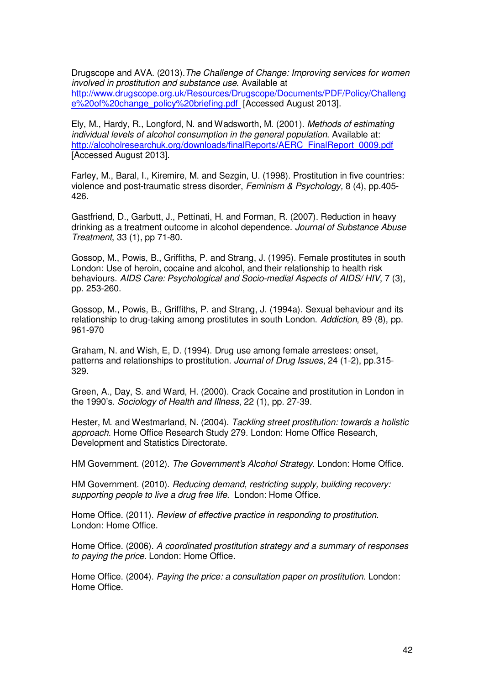Drugscope and AVA. (2013).The Challenge of Change: Improving services for women involved in prostitution and substance use. Available at http://www.drugscope.org.uk/Resources/Drugscope/Documents/PDF/Policy/Challeng e%20of%20change\_policy%20briefing.pdf [Accessed August 2013].

Ely, M., Hardy, R., Longford, N. and Wadsworth, M. (2001). Methods of estimating individual levels of alcohol consumption in the general population. Available at: http://alcoholresearchuk.org/downloads/finalReports/AERC\_FinalReport\_0009.pdf [Accessed August 2013].

Farley, M., Baral, I., Kiremire, M. and Sezgin, U. (1998). Prostitution in five countries: violence and post-traumatic stress disorder, Feminism & Psychology, 8 (4), pp.405- 426.

Gastfriend, D., Garbutt, J., Pettinati, H. and Forman, R. (2007). Reduction in heavy drinking as a treatment outcome in alcohol dependence. Journal of Substance Abuse Treatment, 33 (1), pp 71-80.

Gossop, M., Powis, B., Griffiths, P. and Strang, J. (1995). Female prostitutes in south London: Use of heroin, cocaine and alcohol, and their relationship to health risk behaviours. AIDS Care: Psychological and Socio-medial Aspects of AIDS/ HIV, 7 (3), pp. 253-260.

Gossop, M., Powis, B., Griffiths, P. and Strang, J. (1994a). Sexual behaviour and its relationship to drug-taking among prostitutes in south London. Addiction, 89 (8), pp. 961-970

Graham, N. and Wish, E, D. (1994). Drug use among female arrestees: onset, patterns and relationships to prostitution. Journal of Drug Issues, 24 (1-2), pp.315- 329.

Green, A., Day, S. and Ward, H. (2000). Crack Cocaine and prostitution in London in the 1990's. Sociology of Health and Illness, 22 (1), pp. 27-39.

Hester, M. and Westmarland, N. (2004). Tackling street prostitution: towards a holistic approach. Home Office Research Study 279. London: Home Office Research, Development and Statistics Directorate.

HM Government. (2012). The Government's Alcohol Strategy. London: Home Office.

HM Government. (2010). Reducing demand, restricting supply, building recovery: supporting people to live a drug free life. London: Home Office.

Home Office. (2011). Review of effective practice in responding to prostitution. London: Home Office.

Home Office. (2006). A coordinated prostitution strategy and a summary of responses to paying the price. London: Home Office.

Home Office. (2004). Paying the price: a consultation paper on prostitution. London: Home Office.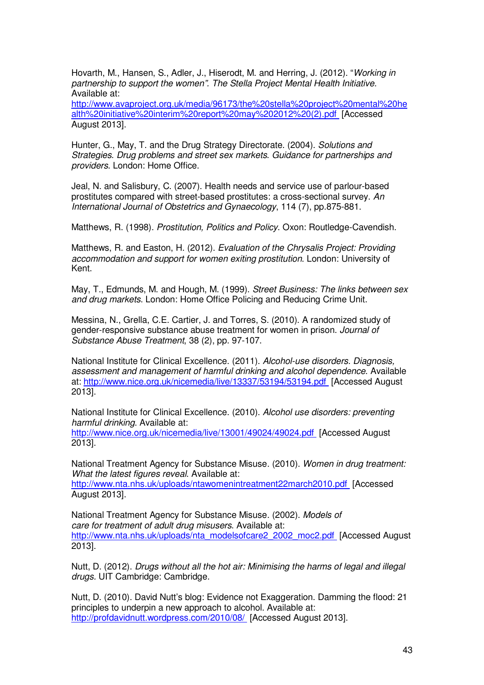Hovarth, M., Hansen, S., Adler, J., Hiserodt, M. and Herring, J. (2012). "Working in partnership to support the women". The Stella Project Mental Health Initiative. Available at:

http://www.avaproject.org.uk/media/96173/the%20stella%20project%20mental%20he alth%20initiative%20interim%20report%20may%202012%20(2).pdf [Accessed August 2013].

Hunter, G., May, T. and the Drug Strategy Directorate. (2004). Solutions and Strategies. Drug problems and street sex markets. Guidance for partnerships and providers. London: Home Office.

Jeal, N. and Salisbury, C. (2007). Health needs and service use of parlour-based prostitutes compared with street-based prostitutes: a cross-sectional survey. An International Journal of Obstetrics and Gynaecology, 114 (7), pp.875-881.

Matthews, R. (1998). Prostitution, Politics and Policy. Oxon: Routledge-Cavendish.

Matthews, R. and Easton, H. (2012). Evaluation of the Chrysalis Project: Providing accommodation and support for women exiting prostitution. London: University of Kent.

May, T., Edmunds, M. and Hough, M. (1999). Street Business: The links between sex and drug markets. London: Home Office Policing and Reducing Crime Unit.

Messina, N., Grella, C.E. Cartier, J. and Torres, S. (2010). A randomized study of gender-responsive substance abuse treatment for women in prison. Journal of Substance Abuse Treatment, 38 (2), pp. 97-107.

National Institute for Clinical Excellence. (2011). Alcohol-use disorders. Diagnosis, assessment and management of harmful drinking and alcohol dependence. Available at: http://www.nice.org.uk/nicemedia/live/13337/53194/53194.pdf [Accessed August 2013].

National Institute for Clinical Excellence. (2010). Alcohol use disorders: preventing harmful drinking. Available at: http://www.nice.org.uk/nicemedia/live/13001/49024/49024.pdf [Accessed August 2013].

National Treatment Agency for Substance Misuse. (2010). Women in drug treatment: What the latest figures reveal. Available at: http://www.nta.nhs.uk/uploads/ntawomenintreatment22march2010.pdf [Accessed August 2013].

National Treatment Agency for Substance Misuse. (2002). Models of care for treatment of adult drug misusers. Available at: http://www.nta.nhs.uk/uploads/nta\_modelsofcare2\_2002\_moc2.pdf [Accessed August] 2013].

Nutt, D. (2012). Drugs without all the hot air: Minimising the harms of legal and illegal drugs. UIT Cambridge: Cambridge.

Nutt, D. (2010). David Nutt's blog: Evidence not Exaggeration. Damming the flood: 21 principles to underpin a new approach to alcohol. Available at: http://profdavidnutt.wordpress.com/2010/08/ [Accessed August 2013].